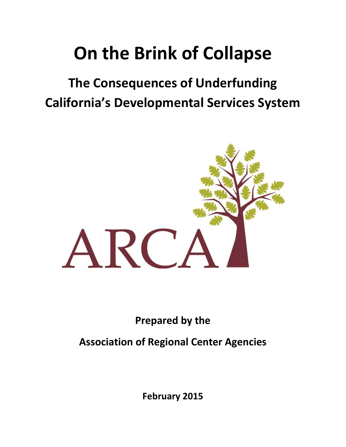# **On the Brink of Collapse**

## **The Consequences of Underfunding California's Developmental Services System**



**Prepared by the**

**Association of Regional Center Agencies**

**February 2015**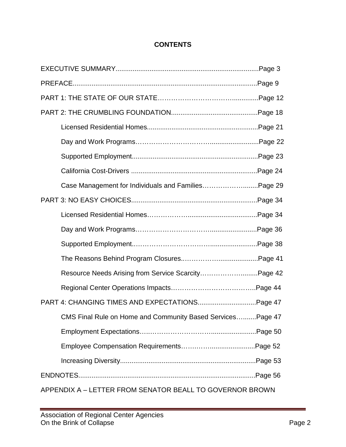#### **CONTENTS**

|                                                          | Case Management for Individuals and FamiliesPage 29         |  |  |  |
|----------------------------------------------------------|-------------------------------------------------------------|--|--|--|
|                                                          |                                                             |  |  |  |
|                                                          |                                                             |  |  |  |
|                                                          |                                                             |  |  |  |
|                                                          |                                                             |  |  |  |
|                                                          |                                                             |  |  |  |
|                                                          | Resource Needs Arising from Service ScarcityPage 42         |  |  |  |
|                                                          |                                                             |  |  |  |
|                                                          |                                                             |  |  |  |
|                                                          | CMS Final Rule on Home and Community Based Services Page 47 |  |  |  |
|                                                          |                                                             |  |  |  |
|                                                          |                                                             |  |  |  |
|                                                          |                                                             |  |  |  |
|                                                          |                                                             |  |  |  |
| APPENDIX A - LETTER FROM SENATOR BEALL TO GOVERNOR BROWN |                                                             |  |  |  |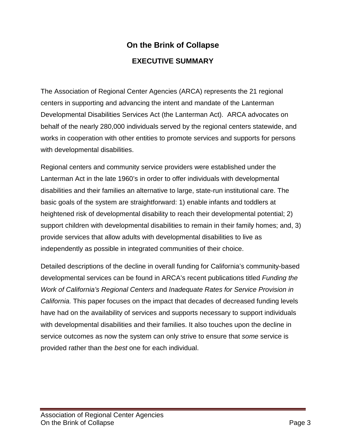### **On the Brink of Collapse EXECUTIVE SUMMARY**

The Association of Regional Center Agencies (ARCA) represents the 21 regional centers in supporting and advancing the intent and mandate of the Lanterman Developmental Disabilities Services Act (the Lanterman Act). ARCA advocates on behalf of the nearly 280,000 individuals served by the regional centers statewide, and works in cooperation with other entities to promote services and supports for persons with developmental disabilities.

Regional centers and community service providers were established under the Lanterman Act in the late 1960's in order to offer individuals with developmental disabilities and their families an alternative to large, state-run institutional care. The basic goals of the system are straightforward: 1) enable infants and toddlers at heightened risk of developmental disability to reach their developmental potential; 2) support children with developmental disabilities to remain in their family homes; and, 3) provide services that allow adults with developmental disabilities to live as independently as possible in integrated communities of their choice.

Detailed descriptions of the decline in overall funding for California's community-based developmental services can be found in ARCA's recent publications titled *Funding the Work of California's Regional Centers* and *Inadequate Rates for Service Provision in California.* This paper focuses on the impact that decades of decreased funding levels have had on the availability of services and supports necessary to support individuals with developmental disabilities and their families. It also touches upon the decline in service outcomes as now the system can only strive to ensure that *some* service is provided rather than the *best* one for each individual.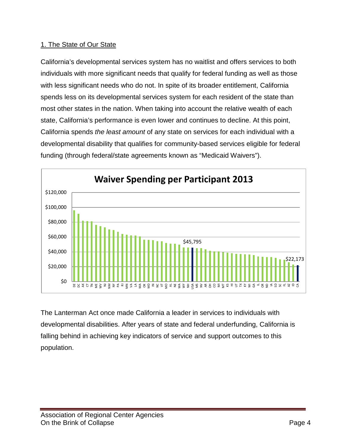#### 1. The State of Our State

California's developmental services system has no waitlist and offers services to both individuals with more significant needs that qualify for federal funding as well as those with less significant needs who do not. In spite of its broader entitlement, California spends less on its developmental services system for each resident of the state than most other states in the nation. When taking into account the relative wealth of each state, California's performance is even lower and continues to decline. At this point, California spends *the least amount* of any state on services for each individual with a developmental disability that qualifies for community-based services eligible for federal funding (through federal/state agreements known as "Medicaid Waivers").



The Lanterman Act once made California a leader in services to individuals with developmental disabilities. After years of state and federal underfunding, California is falling behind in achieving key indicators of service and support outcomes to this population.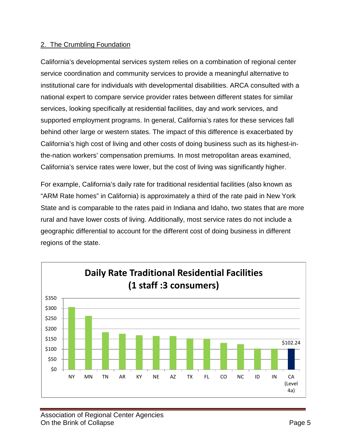#### 2. The Crumbling Foundation

California's developmental services system relies on a combination of regional center service coordination and community services to provide a meaningful alternative to institutional care for individuals with developmental disabilities. ARCA consulted with a national expert to compare service provider rates between different states for similar services, looking specifically at residential facilities, day and work services, and supported employment programs. In general, California's rates for these services fall behind other large or western states. The impact of this difference is exacerbated by California's high cost of living and other costs of doing business such as its highest-inthe-nation workers' compensation premiums. In most metropolitan areas examined, California's service rates were lower, but the cost of living was significantly higher.

For example, California's daily rate for traditional residential facilities (also known as "ARM Rate homes" in California) is approximately a third of the rate paid in New York State and is comparable to the rates paid in Indiana and Idaho, two states that are more rural and have lower costs of living. Additionally, most service rates do not include a geographic differential to account for the different cost of doing business in different regions of the state.

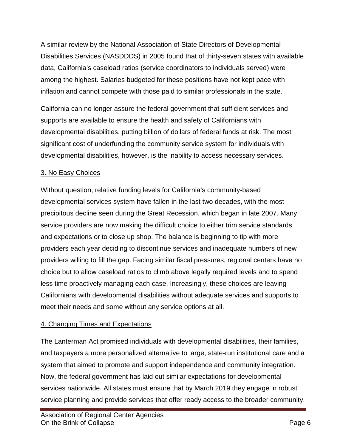A similar review by the National Association of State Directors of Developmental Disabilities Services (NASDDDS) in 2005 found that of thirty-seven states with available data, California's caseload ratios (service coordinators to individuals served) were among the highest. Salaries budgeted for these positions have not kept pace with inflation and cannot compete with those paid to similar professionals in the state.

California can no longer assure the federal government that sufficient services and supports are available to ensure the health and safety of Californians with developmental disabilities, putting billion of dollars of federal funds at risk. The most significant cost of underfunding the community service system for individuals with developmental disabilities, however, is the inability to access necessary services.

#### 3. No Easy Choices

Without question, relative funding levels for California's community-based developmental services system have fallen in the last two decades, with the most precipitous decline seen during the Great Recession, which began in late 2007. Many service providers are now making the difficult choice to either trim service standards and expectations or to close up shop. The balance is beginning to tip with more providers each year deciding to discontinue services and inadequate numbers of new providers willing to fill the gap. Facing similar fiscal pressures, regional centers have no choice but to allow caseload ratios to climb above legally required levels and to spend less time proactively managing each case. Increasingly, these choices are leaving Californians with developmental disabilities without adequate services and supports to meet their needs and some without any service options at all.

#### 4. Changing Times and Expectations

The Lanterman Act promised individuals with developmental disabilities, their families, and taxpayers a more personalized alternative to large, state-run institutional care and a system that aimed to promote and support independence and community integration. Now, the federal government has laid out similar expectations for developmental services nationwide. All states must ensure that by March 2019 they engage in robust service planning and provide services that offer ready access to the broader community.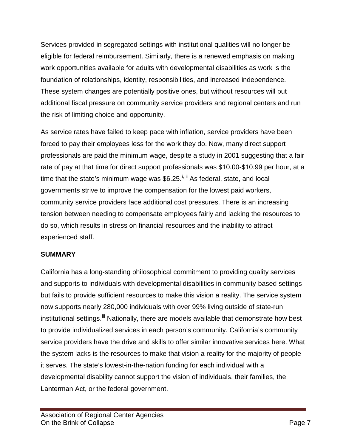Services provided in segregated settings with institutional qualities will no longer be eligible for federal reimbursement. Similarly, there is a renewed emphasis on making work opportunities available for adults with developmental disabilities as work is the foundation of relationships, identity, responsibilities, and increased independence. These system changes are potentially positive ones, but without resources will put additional fiscal pressure on community service providers and regional centers and run the risk of limiting choice and opportunity.

As service rates have failed to keep pace with inflation, service providers have been forced to pay their employees less for the work they do. Now, many direct support professionals are paid the minimum wage, despite a study in 2001 suggesting that a fair rate of pay at that time for direct support professionals was \$10.00-\$10.99 per hour, at a time that the state's minimum wage was \$6.25.<sup>[i,](#page-59-0) [ii](#page-59-1)</sup> As federal, state, and local governments strive to improve the compensation for the lowest paid workers, community service providers face additional cost pressures. There is an increasing tension between needing to compensate employees fairly and lacking the resources to do so, which results in stress on financial resources and the inability to attract experienced staff.

#### **SUMMARY**

California has a long-standing philosophical commitment to providing quality services and supports to individuals with developmental disabilities in community-based settings but fails to provide sufficient resources to make this vision a reality. The service system now supports nearly 280,000 individuals with over 99% living outside of state-run institutional settings.<sup>[iii](#page-59-2)</sup> Nationally, there are models available that demonstrate how best to provide individualized services in each person's community. California's community service providers have the drive and skills to offer similar innovative services here. What the system lacks is the resources to make that vision a reality for the majority of people it serves. The state's lowest-in-the-nation funding for each individual with a developmental disability cannot support the vision of individuals, their families, the Lanterman Act, or the federal government.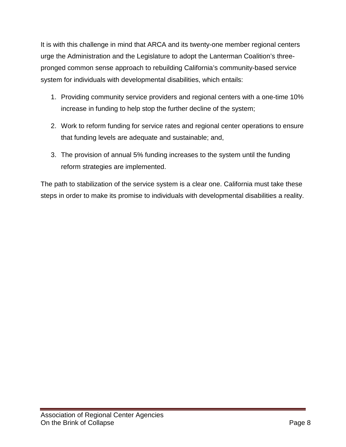It is with this challenge in mind that ARCA and its twenty-one member regional centers urge the Administration and the Legislature to adopt the Lanterman Coalition's threepronged common sense approach to rebuilding California's community-based service system for individuals with developmental disabilities, which entails:

- 1. Providing community service providers and regional centers with a one-time 10% increase in funding to help stop the further decline of the system;
- 2. Work to reform funding for service rates and regional center operations to ensure that funding levels are adequate and sustainable; and,
- 3. The provision of annual 5% funding increases to the system until the funding reform strategies are implemented.

The path to stabilization of the service system is a clear one. California must take these steps in order to make its promise to individuals with developmental disabilities a reality.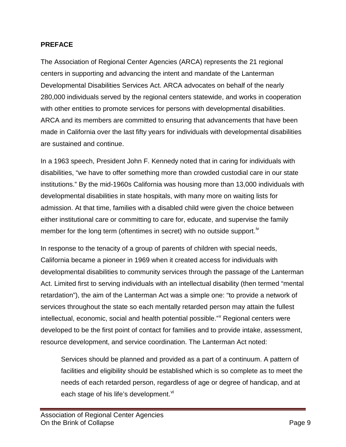#### **PREFACE**

The Association of Regional Center Agencies (ARCA) represents the 21 regional centers in supporting and advancing the intent and mandate of the Lanterman Developmental Disabilities Services Act. ARCA advocates on behalf of the nearly 280,000 individuals served by the regional centers statewide, and works in cooperation with other entities to promote services for persons with developmental disabilities. ARCA and its members are committed to ensuring that advancements that have been made in California over the last fifty years for individuals with developmental disabilities are sustained and continue.

In a 1963 speech, President John F. Kennedy noted that in caring for individuals with disabilities, "we have to offer something more than crowded custodial care in our state institutions." By the mid-1960s California was housing more than 13,000 individuals with developmental disabilities in state hospitals, with many more on waiting lists for admission. At that time, families with a disabled child were given the choice between either institutional care or committing to care for, educate, and supervise the family member for the long term (oftentimes in secret) with no outside support.<sup>[iv](#page-59-3)</sup>

In response to the tenacity of a group of parents of children with special needs, California became a pioneer in 1969 when it created access for individuals with developmental disabilities to community services through the passage of the Lanterman Act. Limited first to serving individuals with an intellectual disability (then termed "mental retardation"), the aim of the Lanterman Act was a simple one: "to provide a network of services throughout the state so each mentally retarded person may attain the fullest intellectual, economic, social and health potential possible." Regional centers were developed to be the first point of contact for families and to provide intake, assessment, resource development, and service coordination. The Lanterman Act noted:

Services should be planned and provided as a part of a continuum. A pattern of facilities and eligibility should be established which is so complete as to meet the needs of each retarded person, regardless of age or degree of handicap, and at each stage of his life's development.<sup>[vi](#page-59-5)</sup>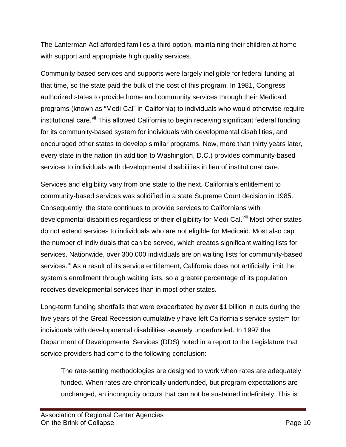The Lanterman Act afforded families a third option, maintaining their children at home with support and appropriate high quality services.

Community-based services and supports were largely ineligible for federal funding at that time, so the state paid the bulk of the cost of this program. In 1981, Congress authorized states to provide home and community services through their Medicaid programs (known as "Medi-Cal" in California) to individuals who would otherwise require institutional care.<sup>[vii](#page-59-6)</sup> This allowed California to begin receiving significant federal funding for its community-based system for individuals with developmental disabilities, and encouraged other states to develop similar programs. Now, more than thirty years later, every state in the nation (in addition to Washington, D.C.) provides community-based services to individuals with developmental disabilities in lieu of institutional care.

Services and eligibility vary from one state to the next. California's entitlement to community-based services was solidified in a state Supreme Court decision in 1985. Consequently, the state continues to provide services to Californians with developmental disabilities regardless of their eligibility for Medi-Cal.<sup>[viii](#page-59-7)</sup> Most other states do not extend services to individuals who are not eligible for Medicaid. Most also cap the number of individuals that can be served, which creates significant waiting lists for services. Nationwide, over 300,000 individuals are on waiting lists for community-based services.<sup>[ix](#page-59-8)</sup> As a result of its service entitlement, California does not artificially limit the system's enrollment through waiting lists, so a greater percentage of its population receives developmental services than in most other states.

Long-term funding shortfalls that were exacerbated by over \$1 billion in cuts during the five years of the Great Recession cumulatively have left California's service system for individuals with developmental disabilities severely underfunded. In 1997 the Department of Developmental Services (DDS) noted in a report to the Legislature that service providers had come to the following conclusion:

The rate-setting methodologies are designed to work when rates are adequately funded. When rates are chronically underfunded, but program expectations are unchanged, an incongruity occurs that can not be sustained indefinitely. This is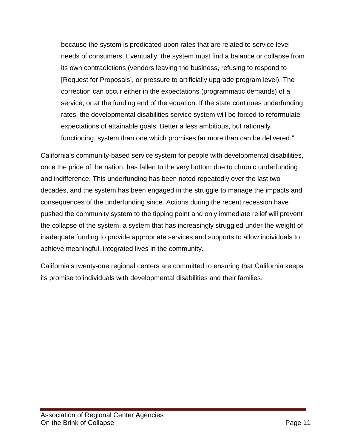because the system is predicated upon rates that are related to service level needs of consumers. Eventually, the system must find a balance or collapse from its own contradictions (vendors leaving the business, refusing to respond to [Request for Proposals], or pressure to artificially upgrade program level). The correction can occur either in the expectations (programmatic demands) of a service, or at the funding end of the equation. If the state continues underfunding rates, the developmental disabilities service system will be forced to reformulate expectations of attainable goals. Better a less ambitious, but rationally functioning, system than one which promises far more than can be delivered. $x$ 

California's community-based service system for people with developmental disabilities, once the pride of the nation, has fallen to the very bottom due to chronic underfunding and indifference. This underfunding has been noted repeatedly over the last two decades, and the system has been engaged in the struggle to manage the impacts and consequences of the underfunding since. Actions during the recent recession have pushed the community system to the tipping point and only immediate relief will prevent the collapse of the system, a system that has increasingly struggled under the weight of inadequate funding to provide appropriate services and supports to allow individuals to achieve meaningful, integrated lives in the community.

California's twenty-one regional centers are committed to ensuring that California keeps its promise to individuals with developmental disabilities and their families.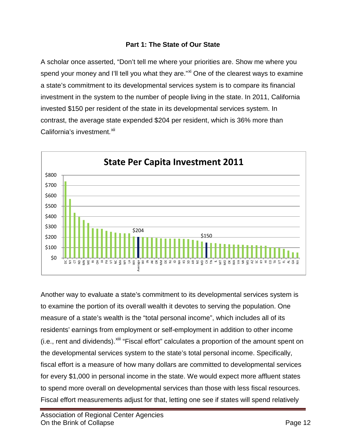#### **Part 1: The State of Our State**

A scholar once asserted, "Don't tell me where your priorities are. Show me where you spend your money and I'll tell you what they are."<sup>[xi](#page-59-10)</sup> One of the clearest ways to examine a state's commitment to its developmental services system is to compare its financial investment in the system to the number of people living in the state. In 2011, California invested \$150 per resident of the state in its developmental services system. In contrast, the average state expended \$204 per resident, which is 36% more than California's investment.<sup>[xii](#page-59-11)</sup>



Another way to evaluate a state's commitment to its developmental services system is to examine the portion of its overall wealth it devotes to serving the population. One measure of a state's wealth is the "total personal income", which includes all of its residents' earnings from employment or self-employment in addition to other income (i.e., rent and dividends).<sup>Xiii</sup> "Fiscal effort" calculates a proportion of the amount spent on the developmental services system to the state's total personal income. Specifically, fiscal effort is a measure of how many dollars are committed to developmental services for every \$1,000 in personal income in the state. We would expect more affluent states to spend more overall on developmental services than those with less fiscal resources. Fiscal effort measurements adjust for that, letting one see if states will spend relatively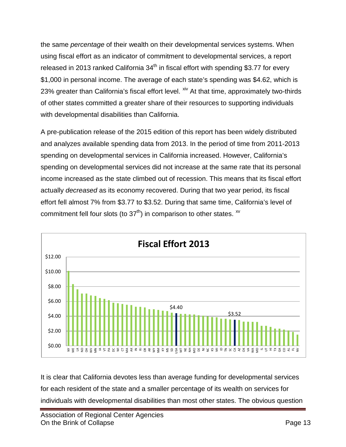the same *percentage* of their wealth on their developmental services systems. When using fiscal effort as an indicator of commitment to developmental services, a report released in 2013 ranked California  $34<sup>th</sup>$  in fiscal effort with spending \$3.77 for every \$1,000 in personal income. The average of each state's spending was \$4.62, which is 23% greater than California's fiscal effort level. <sup>[xiv](#page-59-13)</sup> At that time, approximately two-thirds of other states committed a greater share of their resources to supporting individuals with developmental disabilities than California.

A pre-publication release of the 2015 edition of this report has been widely distributed and analyzes available spending data from 2013. In the period of time from 2011-2013 spending on developmental services in California increased. However, California's spending on developmental services did not increase at the same rate that its personal income increased as the state climbed out of recession. This means that its fiscal effort actually *decreased* as its economy recovered. During that two year period, its fiscal effort fell almost 7% from \$3.77 to \$3.52. During that same time, California's level of commitment fell four slots (to  $37<sup>th</sup>$ ) in comparison to other states.  $<sup>xv</sup>$  $<sup>xv</sup>$  $<sup>xv</sup>$ </sup>



It is clear that California devotes less than average funding for developmental services for each resident of the state and a smaller percentage of its wealth on services for individuals with developmental disabilities than most other states. The obvious question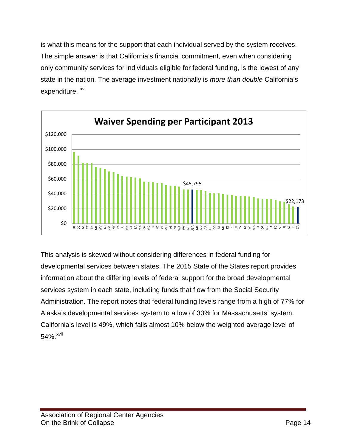is what this means for the support that each individual served by the system receives. The simple answer is that California's financial commitment, even when considering only community services for individuals eligible for federal funding, is the lowest of any state in the nation. The average investment nationally is *more than double* California's expenditure. <sup>[xvi](#page-59-15)</sup>



This analysis is skewed without considering differences in federal funding for developmental services between states. The 2015 State of the States report provides information about the differing levels of federal support for the broad developmental services system in each state, including funds that flow from the Social Security Administration. The report notes that federal funding levels range from a high of 77% for Alaska's developmental services system to a low of 33% for Massachusetts' system. California's level is 49%, which falls almost 10% below the weighted average level of  $54\%$ .  $xvii$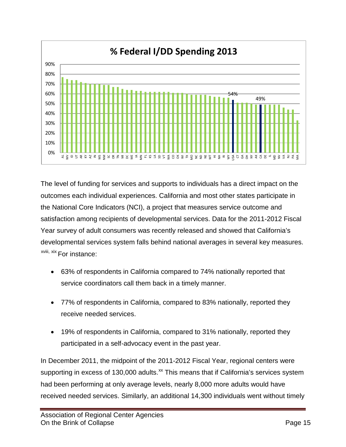

The level of funding for services and supports to individuals has a direct impact on the outcomes each individual experiences. California and most other states participate in the National Core Indicators (NCI), a project that measures service outcome and satisfaction among recipients of developmental services. Data for the 2011-2012 Fiscal Year survey of adult consumers was recently released and showed that California's developmental services system falls behind national averages in several key measures. <sup>xviii[,](#page-59-17) [xix](#page-59-18)</sup> For instance:

- 63% of respondents in California compared to 74% nationally reported that service coordinators call them back in a timely manner.
- 77% of respondents in California, compared to 83% nationally, reported they receive needed services.
- 19% of respondents in California, compared to 31% nationally, reported they participated in a self-advocacy event in the past year.

In December 2011, the midpoint of the 2011-2012 Fiscal Year, regional centers were supporting in excess of 130,000 adults.<sup>[xx](#page-59-19)</sup> This means that if California's services system had been performing at only average levels, nearly 8,000 more adults would have received needed services. Similarly, an additional 14,300 individuals went without timely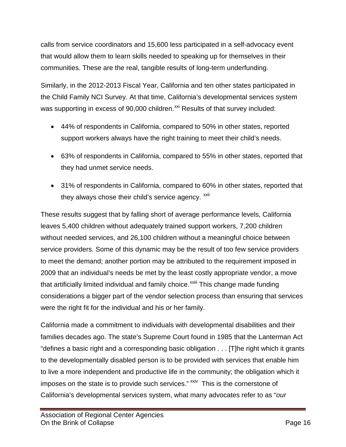calls from service coordinators and 15,600 less participated in a self-advocacy event that would allow them to learn skills needed to speaking up for themselves in their communities. These are the real, tangible results of long-term underfunding.

Similarly, in the 2012-2013 Fiscal Year, California and ten other states participated in the Child Family NCI Survey. At that time, California's developmental services system was supporting in excess of 90,000 children.<sup>[xxi](#page-59-20)</sup> Results of that survey included:

- 44% of respondents in California, compared to 50% in other states, reported support workers always have the right training to meet their child's needs.
- 63% of respondents in California, compared to 55% in other states, reported that they had unmet service needs.
- 31% of respondents in California, compared to 60% in other states, reported that they always chose their child's service agency. XXII

These results suggest that by falling short of average performance levels, California leaves 5,400 children without adequately trained support workers, 7,200 children without needed services, and 26,100 children without a meaningful choice between service providers. Some of this dynamic may be the result of too few service providers to meet the demand; another portion may be attributed to the requirement imposed in 2009 that an individual's needs be met by the least costly appropriate vendor, a move that artificially limited individual and family choice.<sup>xxiii</sup> [T](#page-59-22)his change made funding considerations a bigger part of the vendor selection process than ensuring that services were the right fit for the individual and his or her family.

California made a commitment to individuals with developmental disabilities and their families decades ago. The state's Supreme Court found in 1985 that the Lanterman Act "defines a basic right and a corresponding basic obligation . . . [T]he right which it grants to the developmentally disabled person is to be provided with services that enable him to live a more independent and productive life in the community; the obligation which it imposes on the state is to provide such services." XXIV This is the cornerstone of California's developmental services system, what many advocates refer to as "*our*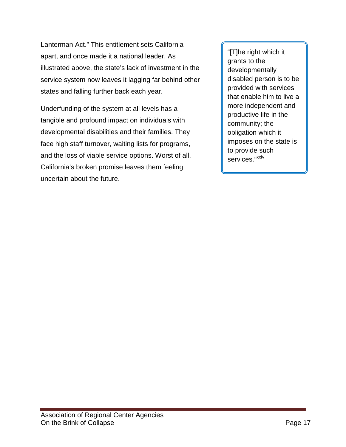Lanterman Act." This entitlement sets California apart, and once made it a national leader. As illustrated above, the state's lack of investment in the service system now leaves it lagging far behind other states and falling further back each year.

Underfunding of the system at all levels has a tangible and profound impact on individuals with developmental disabilities and their families. They face high staff turnover, waiting lists for programs, and the loss of viable service options. Worst of all, California's broken promise leaves them feeling uncertain about the future.

"[T]he right which it grants to the developmentally disabled person is to be provided with services that enable him to live a more independent and productive life in the community; the obligation which it imposes on the state is to provide such services."<sup>xxiv</sup>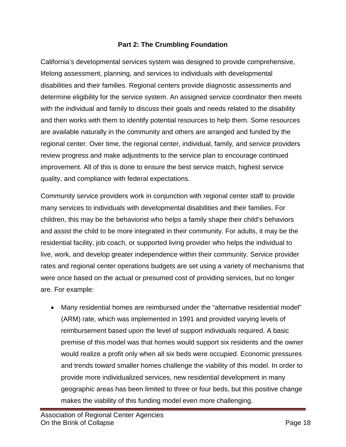#### **Part 2: The Crumbling Foundation**

California's developmental services system was designed to provide comprehensive, lifelong assessment, planning, and services to individuals with developmental disabilities and their families. Regional centers provide diagnostic assessments and determine eligibility for the service system. An assigned service coordinator then meets with the individual and family to discuss their goals and needs related to the disability and then works with them to identify potential resources to help them. Some resources are available naturally in the community and others are arranged and funded by the regional center. Over time, the regional center, individual, family, and service providers review progress and make adjustments to the service plan to encourage continued improvement. All of this is done to ensure the best service match, highest service quality, and compliance with federal expectations.

Community service providers work in conjunction with regional center staff to provide many services to individuals with developmental disabilities and their families. For children, this may be the behaviorist who helps a family shape their child's behaviors and assist the child to be more integrated in their community. For adults, it may be the residential facility, job coach, or supported living provider who helps the individual to live, work, and develop greater independence within their community. Service provider rates and regional center operations budgets are set using a variety of mechanisms that were once based on the actual or presumed cost of providing services, but no longer are. For example:

• Many residential homes are reimbursed under the "alternative residential model" (ARM) rate, which was implemented in 1991 and provided varying levels of reimbursement based upon the level of support individuals required. A basic premise of this model was that homes would support six residents and the owner would realize a profit only when all six beds were occupied. Economic pressures and trends toward smaller homes challenge the viability of this model. In order to provide more individualized services, new residential development in many geographic areas has been limited to three or four beds, but this positive change makes the viability of this funding model even more challenging.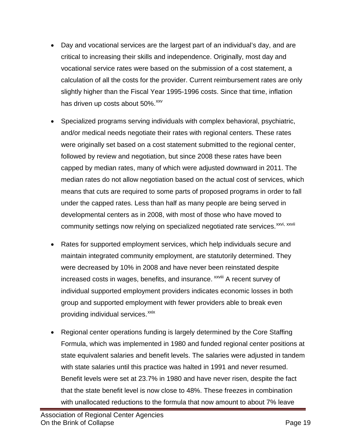- Day and vocational services are the largest part of an individual's day, and are critical to increasing their skills and independence. Originally, most day and vocational service rates were based on the submission of a cost statement, a calculation of all the costs for the provider. Current reimbursement rates are only slightly higher than the Fiscal Year 1995-1996 costs. Since that time, inflation has driven up costs about  $50\%$ .  $xv$
- Specialized programs serving individuals with complex behavioral, psychiatric, and/or medical needs negotiate their rates with regional centers. These rates were originally set based on a cost statement submitted to the regional center, followed by review and negotiation, but since 2008 these rates have been capped by median rates, many of which were adjusted downward in 2011. The median rates do not allow negotiation based on the actual cost of services, which means that cuts are required to some parts of proposed programs in order to fall under the capped rates. Less than half as many people are being served in developmental centers as in 2008, with most of those who have moved to community settings now relying on specialized negotiated rate services.<sup>[xxvi](#page-59-25), xxv[i](#page-59-26)i</sup>
- Rates for supported employment services, which help individuals secure and maintain integrated community employment, are statutorily determined. They were decreased by 10% in 2008 and have never been reinstated despite increased costs in wages, benefits, and insurance. **XXVIII** A recent survey of individual supported employment providers indicates economic losses in both group and supported employment with fewer providers able to break even providing individual services.<sup>[xxix](#page-59-27)</sup>
- Regional center operations funding is largely determined by the Core Staffing Formula, which was implemented in 1980 and funded regional center positions at state equivalent salaries and benefit levels. The salaries were adjusted in tandem with state salaries until this practice was halted in 1991 and never resumed. Benefit levels were set at 23.7% in 1980 and have never risen, despite the fact that the state benefit level is now close to 48%. These freezes in combination with unallocated reductions to the formula that now amount to about 7% leave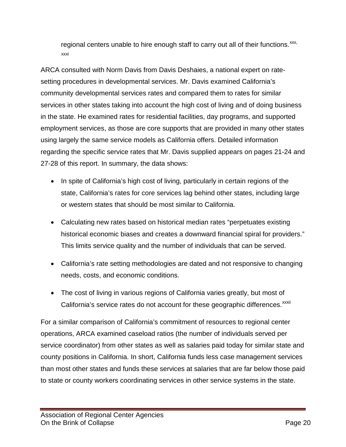regional centers unable to hire enough staff to carry out all of their functions.  $\frac{x}{x}$ , [xxxi](#page-59-29)

ARCA consulted with Norm Davis from Davis Deshaies, a national expert on ratesetting procedures in developmental services. Mr. Davis examined California's community developmental services rates and compared them to rates for similar services in other states taking into account the high cost of living and of doing business in the state. He examined rates for residential facilities, day programs, and supported employment services, as those are core supports that are provided in many other states using largely the same service models as California offers. Detailed information regarding the specific service rates that Mr. Davis supplied appears on pages 21-24 and 27-28 of this report. In summary, the data shows:

- In spite of California's high cost of living, particularly in certain regions of the state, California's rates for core services lag behind other states, including large or western states that should be most similar to California.
- Calculating new rates based on historical median rates "perpetuates existing historical economic biases and creates a downward financial spiral for providers." This limits service quality and the number of individuals that can be served.
- California's rate setting methodologies are dated and not responsive to changing needs, costs, and economic conditions.
- The cost of living in various regions of California varies greatly, but most of California's service rates do not account for these geographic differences.<sup>xxxii</sup>

For a similar comparison of California's commitment of resources to regional center operations, ARCA examined caseload ratios (the number of individuals served per service coordinator) from other states as well as salaries paid today for similar state and county positions in California. In short, California funds less case management services than most other states and funds these services at salaries that are far below those paid to state or county workers coordinating services in other service systems in the state.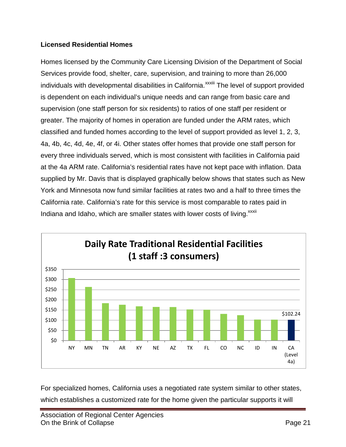#### **Licensed Residential Homes**

Homes licensed by the Community Care Licensing Division of the Department of Social Services provide food, shelter, care, supervision, and training to more than 26,000 [i](#page-59-30)ndividuals with developmental disabilities in California.<sup>xxxiii</sup> The level of support provided is dependent on each individual's unique needs and can range from basic care and supervision (one staff person for six residents) to ratios of one staff per resident or greater. The majority of homes in operation are funded under the ARM rates, which classified and funded homes according to the level of support provided as level 1, 2, 3, 4a, 4b, 4c, 4d, 4e, 4f, or 4i. Other states offer homes that provide one staff person for every three individuals served, which is most consistent with facilities in California paid at the 4a ARM rate. California's residential rates have not kept pace with inflation. Data supplied by Mr. Davis that is displayed graphically below shows that states such as New York and Minnesota now fund similar facilities at rates two and a half to three times the California rate. California's rate for this service is most comparable to rates paid in Indiana and Idaho, which are smaller states with lower costs of living.<sup>xxxii</sup>



For specialized homes, California uses a negotiated rate system similar to other states, which establishes a customized rate for the home given the particular supports it will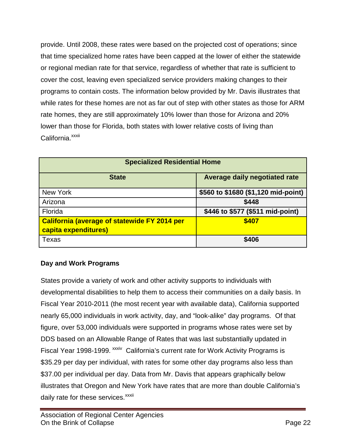provide. Until 2008, these rates were based on the projected cost of operations; since that time specialized home rates have been capped at the lower of either the statewide or regional median rate for that service, regardless of whether that rate is sufficient to cover the cost, leaving even specialized service providers making changes to their programs to contain costs. The information below provided by Mr. Davis illustrates that while rates for these homes are not as far out of step with other states as those for ARM rate homes, they are still approximately 10% lower than those for Arizona and 20% lower than those for Florida, both states with lower relative costs of living than California.<sup>xxxii</sup>

| <b>Specialized Residential Home</b>                                         |                                     |  |  |  |
|-----------------------------------------------------------------------------|-------------------------------------|--|--|--|
| <b>State</b>                                                                | Average daily negotiated rate       |  |  |  |
| New York                                                                    | \$560 to \$1680 (\$1,120 mid-point) |  |  |  |
| Arizona                                                                     | \$448                               |  |  |  |
| Florida                                                                     | \$446 to \$577 (\$511 mid-point)    |  |  |  |
| <b>California (average of statewide FY 2014 per</b><br>capita expenditures) | \$407                               |  |  |  |
| Texas                                                                       | \$406                               |  |  |  |

#### **Day and Work Programs**

States provide a variety of work and other activity supports to individuals with developmental disabilities to help them to access their communities on a daily basis. In Fiscal Year 2010-2011 (the most recent year with available data), California supported nearly 65,000 individuals in work activity, day, and "look-alike" day programs. Of that figure, over 53,000 individuals were supported in programs whose rates were set by DDS based on an Allowable Range of Rates that was last substantially updated in Fiscal Year 1998-1999. <sup>XXXIV</sup> California's current rate for Work Activity Programs is \$35.29 per day per individual, with rates for some other day programs also less than \$37.00 per individual per day. Data from Mr. Davis that appears graphically below illustrates that Oregon and New York have rates that are more than double California's daily rate for these services.<sup>xxxii</sup>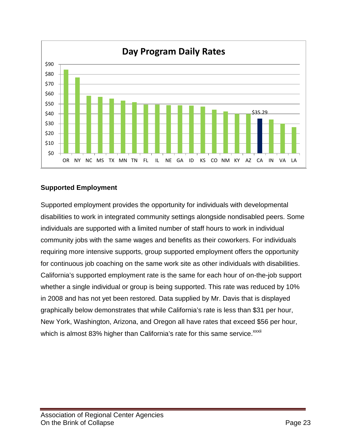

#### **Supported Employment**

Supported employment provides the opportunity for individuals with developmental disabilities to work in integrated community settings alongside nondisabled peers. Some individuals are supported with a limited number of staff hours to work in individual community jobs with the same wages and benefits as their coworkers. For individuals requiring more intensive supports, group supported employment offers the opportunity for continuous job coaching on the same work site as other individuals with disabilities. California's supported employment rate is the same for each hour of on-the-job support whether a single individual or group is being supported. This rate was reduced by 10% in 2008 and has not yet been restored. Data supplied by Mr. Davis that is displayed graphically below demonstrates that while California's rate is less than \$31 per hour, New York, Washington, Arizona, and Oregon all have rates that exceed \$56 per hour, which is almost 83% higher than California's rate for this same service. xxxii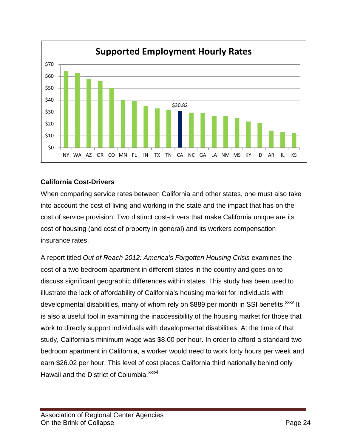

#### **California Cost-Drivers**

When comparing service rates between California and other states, one must also take into account the cost of living and working in the state and the impact that has on the cost of service provision. Two distinct cost-drivers that make California unique are its cost of housing (and cost of property in general) and its workers compensation insurance rates.

A report titled *Out of Reach 2012: America's Forgotten Housing Crisis* examines the cost of a two bedroom apartment in different states in the country and goes on to discuss significant geographic differences within states. This study has been used to illustrate the lack of affordability of California's housing market for individuals with developmental disabilities, many of whom rely on \$889 per month in SSI benefits.<sup>[xxxv](#page-59-32)</sup> It Hawaii and the District of Columbia.<sup>xxxvi</sup> is also a useful tool in examining the inaccessibility of the housing market for those that work to directly support individuals with developmental disabilities. At the time of that study, California's minimum wage was \$8.00 per hour. In order to afford a standard two bedroom apartment in California, a worker would need to work forty hours per week and earn \$26.02 per hour. This level of cost places California third nationally behind only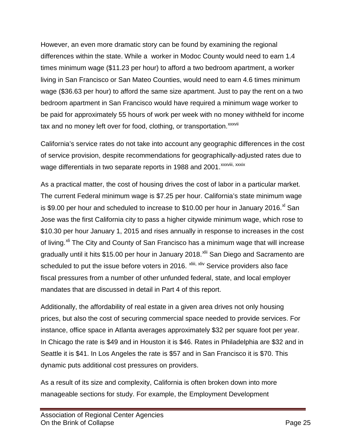However, an even more dramatic story can be found by examining the regional differences within the state. While a worker in Modoc County would need to earn 1.4 times minimum wage (\$11.23 per hour) to afford a two bedroom apartment, a worker living in San Francisco or San Mateo Counties, would need to earn 4.6 times minimum wage (\$36.63 per hour) to afford the same size apartment. Just to pay the rent on a two bedroom apartment in San Francisco would have required a minimum wage worker to be paid for approximately 55 hours of work per week with no money withheld for income tax and no money left over for food, cloth[i](#page-59-33)ng, or transportation.<sup>xxxvii</sup>

California's service rates do not take into account any geographic differences in the cost of service provision, despite recommendations for geographically-adjusted rates due to wage differentials in two separate reports in 1988 and 2001. XXXVIII[,](#page-59-34) XXXIX

As a practical matter, the cost of housing drives the cost of labor in a particular market. The current Federal minimum wage is \$7.25 per hour. California's state minimum wage is \$9.00 per hour and scheduled to increase to \$10.00 per hour in January 2016. $^{\text{xi}}$  San scheduled to put the issue before voters in 2016. <sup>xliii[,](#page-59-38) [xliv](#page-59-39)</sup> Service providers also face Jose was the first California city to pass a higher citywide minimum wage, which rose to \$10.30 per hour January 1, 2015 and rises annually in response to increases in the cost of living.<sup>[xli](#page-59-36)</sup> The City and County of San Francisco has a minimum wage that will increase gradually until it hits \$15.00 per hour in January 2018.<sup>[xlii](#page-59-37)</sup> San Diego and Sacramento are fiscal pressures from a number of other unfunded federal, state, and local employer mandates that are discussed in detail in Part 4 of this report.

Additionally, the affordability of real estate in a given area drives not only housing prices, but also the cost of securing commercial space needed to provide services. For instance, office space in Atlanta averages approximately \$32 per square foot per year. In Chicago the rate is \$49 and in Houston it is \$46. Rates in Philadelphia are \$32 and in Seattle it is \$41. In Los Angeles the rate is \$57 and in San Francisco it is \$70. This dynamic puts additional cost pressures on providers.

As a result of its size and complexity, California is often broken down into more manageable sections for study. For example, the Employment Development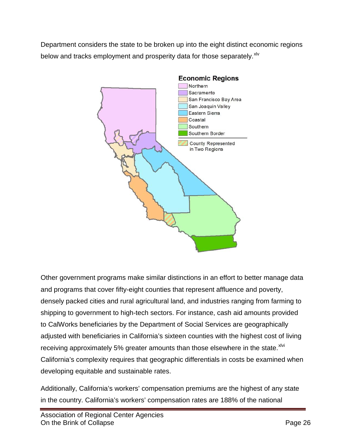Department considers the state to be broken up into the eight distinct economic regions below and tracks employment and prosperity data for those separately. XIV



Other government programs make similar distinctions in an effort to better manage data and programs that cover fifty-eight counties that represent affluence and poverty, densely packed cities and rural agricultural land, and industries ranging from farming to shipping to government to high-tech sectors. For instance, cash aid amounts provided to CalWorks beneficiaries by the Department of Social Services are geographically adjusted with beneficiaries in California's sixteen counties with the highest cost of living receiving approximately 5% greater amounts than those elsewhere in the state. XIVi California's complexity requires that geographic differentials in costs be examined when developing equitable and sustainable rates.

Additionally, California's workers' compensation premiums are the highest of any state in the country. California's workers' compensation rates are 188% of the national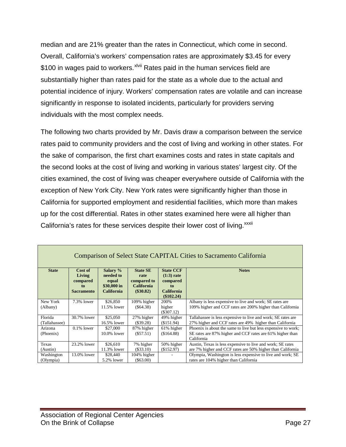median and are 21% greater than the rates in Connecticut, which come in second. Overall, California's workers' compensation rates are approximately \$3.45 for every \$100 [i](#page-59-21)n wages paid to workers. XIVii Rates paid in the human services field are substantially higher than rates paid for the state as a whole due to the actual and potential incidence of injury. Workers' compensation rates are volatile and can increase significantly in response to isolated incidents, particularly for providers serving individuals with the most complex needs.

The following two charts provided by Mr. Davis draw a comparison between the service rates paid to community providers and the cost of living and working in other states. For the sake of comparison, the first chart examines costs and rates in state capitals and the second looks at the cost of living and working in various states' largest city. Of the cities examined, the cost of living was cheaper everywhere outside of California with the exception of New York City. New York rates were significantly higher than those in California for supported employment and residential facilities, which more than makes up for the cost differential. Rates in other states examined here were all higher than California's rates for these services despite their lower cost of living. xxxii

| Comparison of Select State CAPITAL Cities to Sacramento California |                   |                       |                                  |                                  |                                                                         |  |  |
|--------------------------------------------------------------------|-------------------|-----------------------|----------------------------------|----------------------------------|-------------------------------------------------------------------------|--|--|
| <b>State</b>                                                       | Cost of<br>Living | Salary %<br>needed to | <b>State SE</b><br>rate          | <b>State CCF</b><br>$(1:3)$ rate | <b>Notes</b>                                                            |  |  |
|                                                                    | compared<br>to.   | equal<br>\$30,000 in  | compared to<br><b>California</b> | compared<br>to                   |                                                                         |  |  |
|                                                                    | <b>Sacramento</b> | <b>California</b>     | $(\$30.82)$                      | <b>California</b><br>(\$102.24)  |                                                                         |  |  |
| New York                                                           | 7.3% lower        | \$26,850              | 109% higher                      | 200%                             | Albany is less expensive to live and work; SE rates are                 |  |  |
| (Albany)                                                           |                   | 11.5% lower           | (S64.38)                         | higher<br>$(\$307.12)$           | 109% higher and CCF rates are 200% higher than California               |  |  |
| Florida                                                            | 30.7% lower       | \$25,050              | 27% higher                       | 49% higher                       | Tallahassee is less expensive to live and work; SE rates are            |  |  |
| (Tallahassee)                                                      |                   | 16.5% lower           | $(\$39.28)$                      | (\$151.94)                       | 27% higher and CCF rates are 49% higher than California                 |  |  |
| Arizona                                                            | $0.1\%$ lower     | \$27,000              | 87% higher                       | 61% higher                       | Phoenix is about the same to live but less expensive to work;           |  |  |
| (Phoenix)                                                          |                   | $10.0\%$ lower        | $(\$57.51)$                      | (\$164.88)                       | SE rates are 87% higher and CCF rates are 61% higher than<br>California |  |  |
| Texas                                                              | 23.2% lower       | \$26,610              | 7% higher                        | 50% higher                       | Austin, Texas is less expensive to live and work; SE rates              |  |  |
| (Austin)                                                           |                   | 11.3% lower           | $(\$33.10)$                      | (\$152.97)                       | are 7% higher and CCF rates are 50% higher than California              |  |  |
| Washington                                                         | 13.0% lower       | \$28,440              | 104% higher                      |                                  | Olympia, Washington is less expensive to live and work; SE              |  |  |
| (Olympia)                                                          |                   | 5.2% lower            | $(\$63.00)$                      |                                  | rates are 104% higher than California                                   |  |  |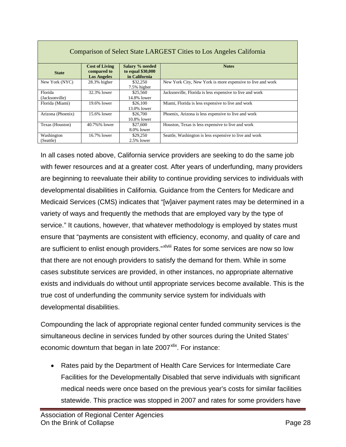| Comparison of Select State LARGEST Cities to Los Angeles California |                                                            |                                                       |                                                            |  |  |  |
|---------------------------------------------------------------------|------------------------------------------------------------|-------------------------------------------------------|------------------------------------------------------------|--|--|--|
| <b>State</b>                                                        | <b>Cost of Living</b><br>compared to<br><b>Los Angeles</b> | Salary % needed<br>to equal \$30,000<br>in California | <b>Notes</b>                                               |  |  |  |
| New York (NYC)                                                      | 28.3% higher                                               | \$32,250<br>7.5% higher                               | New York City, New York is more expensive to live and work |  |  |  |
| Florida<br>(Jacksonville)                                           | 32.3% lower                                                | \$25,560<br>14.8% lower                               | Jacksonville, Florida is less expensive to live and work   |  |  |  |
| Florida (Miami)                                                     | 19.6% lower                                                | \$26,100<br>13.0% lower                               | Miami, Florida is less expensive to live and work          |  |  |  |
| Arizona (Phoenix)                                                   | 15.6% lower                                                | \$26,700<br>10.8% lower                               | Phoenix, Arizona is less expensive to live and work        |  |  |  |
| Texas (Houston)                                                     | 40.7%% lower                                               | \$27,600<br>8.0% lower                                | Houston, Texas is less expensive to live and work          |  |  |  |
| Washington<br>(Seattle)                                             | 16.7% lower                                                | \$29,250<br>$2.5\%$ lower                             | Seattle, Washington is less expensive to live and work     |  |  |  |

In all cases noted above, California service providers are seeking to do the same job with fewer resources and at a greater cost. After years of underfunding, many providers are beginning to reevaluate their ability to continue providing services to individuals with developmental disabilities in California. Guidance from the Centers for Medicare and Medicaid Services (CMS) indicates that "[w]aiver payment rates may be determined in a variety of ways and frequently the methods that are employed vary by the type of service." It cautions, however, that whatever methodology is employed by states must ensure that "payments are consistent with efficiency, economy, and quality of care and are sufficient to enlist enough providers."<sup>xlviii</sup> Rates for some services are now so low that there are not enough providers to satisfy the demand for them. While in some cases substitute services are provided, in other instances, no appropriate alternative exists and individuals do without until appropriate services become available. This is the true cost of underfunding the community service system for individuals with developmental disabilities.

Compounding the lack of appropriate regional center funded community services is the simultaneous decline in services funded by other sources during the United States' economic downturn that began in late 2007<sup>[xlix](#page-59-23)</sup>. For instance:

• Rates paid by the Department of Health Care Services for Intermediate Care Facilities for the Developmentally Disabled that serve individuals with significant medical needs were once based on the previous year's costs for similar facilities statewide. This practice was stopped in 2007 and rates for some providers have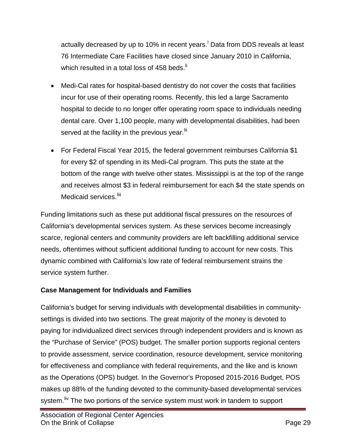actua[l](#page-59-42)ly decreased by up to 10% in recent years.<sup>I</sup> Data from DDS reveals at least 76 Intermediate Care Facilities have closed since January 2010 in California, which resulted in a total loss of 458 beds. $\mathsf{I}^{\mathsf{I}}$ 

- Medi-Cal rates for hospital-based dentistry do not cover the costs that facilities incur for use of their operating rooms. Recently, this led a large Sacramento hospital to decide to no longer offer operating room space to individuals needing dental care. Over 1,100 people, many with developmental disabilities, had been served at the facility in the previous year.<sup>[lii](#page-59-43)</sup>
- For Federal Fiscal Year 2015, the federal government reimburses California \$1 for every \$2 of spending in its Medi-Cal program. This puts the state at the bottom of the range with twelve other states. Mississippi is at the top of the range and receives almost \$3 in federal reimbursement for each \$4 the state spends on Medicaid services.<sup>[liii](#page-59-44)</sup>

Funding limitations such as these put additional fiscal pressures on the resources of California's developmental services system. As these services become increasingly scarce, regional centers and community providers are left backfilling additional service needs, oftentimes without sufficient additional funding to account for new costs. This dynamic combined with California's low rate of federal reimbursement strains the service system further.

#### **Case Management for Individuals and Families**

California's budget for serving individuals with developmental disabilities in communitysettings is divided into two sections. The great majority of the money is devoted to paying for individualized direct services through independent providers and is known as the "Purchase of Service" (POS) budget. The smaller portion supports regional centers to provide assessment, service coordination, resource development, service monitoring for effectiveness and compliance with federal requirements, and the like and is known as the Operations (OPS) budget. In the Governor's Proposed 2015-2016 Budget, POS makes up 88% of the funding devoted to the community-based developmental services system. <sup>In</sup> The two portions of the service system must work in tandem to support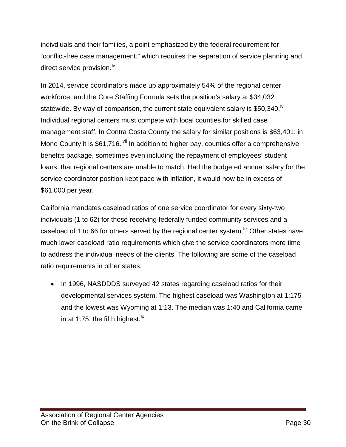indivdiuals and their families, a point emphasized by the federal requirement for "conflict-free case management," which requires the separation of service planning and direct service provision. $\mathsf{N}$ 

In 2014, service coordinators made up approximately 54% of the regional center workforce, and the Core Staffing Formula sets the position's salary at \$34,032 statewide. By way of comparison, the current state equivalent salary is \$50,340.<sup> $\dot{w}$ </sup> Individual regional centers must compete with local counties for skilled case management staff. In Contra Costa County the salary for similar positions is \$63,401; in Mono County it is \$61,716. <sup>Ivii</sup> In addition to higher pay, counties offer a comprehensive benefits package, sometimes even including the repayment of employees' student loans, that regional centers are unable to match. Had the budgeted annual salary for the service coordinator position kept pace with inflation, it would now be in excess of \$61,000 per year.

California mandates caseload ratios of one service coordinator for every sixty-two individuals (1 to 62) for those receiving federally funded community services and a caseload of 1 to 66 for others served by the regional center system.<sup>Iix</sup> Other states have much lower caseload ratio requirements which give the service coordinators more time to address the individual needs of the clients. The following are some of the caseload ratio requirements in other states:

• In 1996, NASDDDS surveyed 42 states regarding caseload ratios for their developmental services system. The highest caseload was Washington at 1:175 and the lowest was Wyoming at 1:13. The median was 1:40 and California came in at 1:75, the fifth highest.<sup>[lx](#page-59-32)</sup>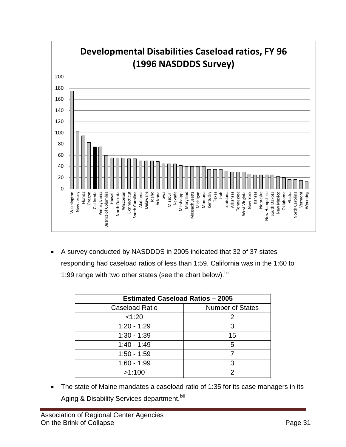

• A survey conducted by NASDDDS in 2005 indicated that 32 of 37 states responding had caseload ratios of less than 1:59. California was in the 1:60 to 1:99 range with two other states (see the chart below).  $\frac{1}{x}$ 

| <b>Estimated Caseload Ratios - 2005</b> |                         |  |  |  |
|-----------------------------------------|-------------------------|--|--|--|
| <b>Caseload Ratio</b>                   | <b>Number of States</b> |  |  |  |
| < 1:20                                  | 2                       |  |  |  |
| $1:20 - 1:29$                           | 3                       |  |  |  |
| $1:30 - 1:39$                           | 15                      |  |  |  |
| $1:40 - 1:49$                           | 5                       |  |  |  |
| $1:50 - 1:59$                           |                         |  |  |  |
| $1:60 - 1:99$                           | 3                       |  |  |  |
| >1:100                                  |                         |  |  |  |

• The state of Maine mandates a caseload ratio of 1:35 for its case managers in its Aging & Disability Services department.<sup>Ixii</sup>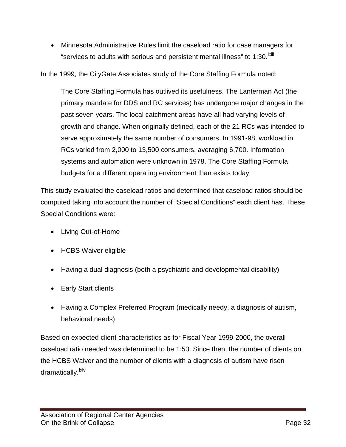• Minnesota Administrative Rules limit the caseload ratio for case managers for "serv[i](#page-59-50)ces to adults with serious and persistent mental illness" to 1:30. $^{\text{Ixiii}}$ 

In the 1999, the CityGate Associates study of the Core Staffing Formula noted:

The Core Staffing Formula has outlived its usefulness. The Lanterman Act (the primary mandate for DDS and RC services) has undergone major changes in the past seven years. The local catchment areas have all had varying levels of growth and change. When originally defined, each of the 21 RCs was intended to serve approximately the same number of consumers. In 1991-98, workload in RCs varied from 2,000 to 13,500 consumers, averaging 6,700. Information systems and automation were unknown in 1978. The Core Staffing Formula budgets for a different operating environment than exists today.

This study evaluated the caseload ratios and determined that caseload ratios should be computed taking into account the number of "Special Conditions" each client has. These Special Conditions were:

- Living Out-of-Home
- HCBS Waiver eligible
- Having a dual diagnosis (both a psychiatric and developmental disability)
- Early Start clients
- Having a Complex Preferred Program (medically needy, a diagnosis of autism, behavioral needs)

Based on expected client characteristics as for Fiscal Year 1999-2000, the overall caseload ratio needed was determined to be 1:53. Since then, the number of clients on the HCBS Waiver and the number of clients with a diagnosis of autism have risen dramatically.<sup>lxiv</sup>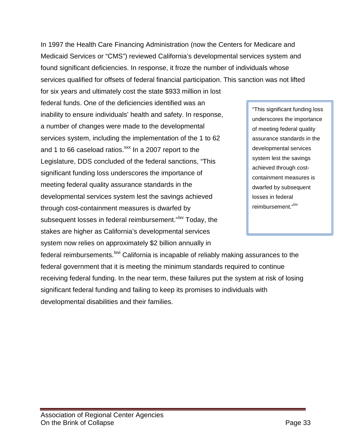In 1997 the Health Care Financing Administration (now the Centers for Medicare and Medicaid Services or "CMS") reviewed California's developmental services system and found significant deficiencies. In response, it froze the number of individuals whose services qualified for offsets of federal financial participation. This sanction was not lifted

for six years and ultimately cost the state \$933 million in lost federal funds. One of the deficiencies identified was an inability to ensure individuals' health and safety. In response, a number of changes were made to the developmental services system, including the implementation of the 1 to 62 and 1 to 66 caseload ratios.<sup>xxx</sup> In a 2007 report to the Legislature, DDS concluded of the federal sanctions, "This significant funding loss underscores the importance of meeting federal quality assurance standards in the developmental services system lest the savings achieved through cost-containment measures is dwarfed by subsequent losses in federal reimbursement."<sup>Ixv</sup> Today, the stakes are higher as California's developmental services system now relies on approximately \$2 billion annually in

"This significant funding loss underscores the importance of meeting federal quality assurance standards in the developmental services system lest the savings achieved through costcontainment measures is dwarfed by subsequent losses in federal reimbursement."<sup>Ixv</sup>

federal reimbursements. <sup>Ixvi</sup> California is incapable of reliably making assurances to the federal government that it is meeting the minimum standards required to continue receiving federal funding. In the near term, these failures put the system at risk of losing significant federal funding and failing to keep its promises to individuals with developmental disabilities and their families.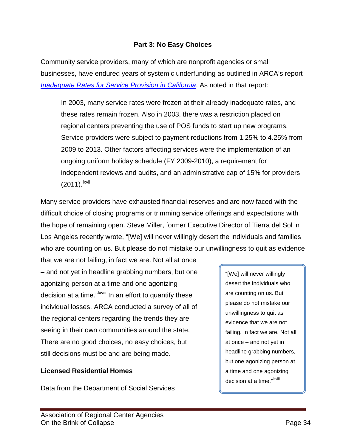#### **Part 3: No Easy Choices**

Community service providers, many of which are nonprofit agencies or small businesses, have endured years of systemic underfunding as outlined in ARCA's report *[Inadequate Rates for Service Provision in California](http://arcanet.org/wp-content/uploads/2014/02/Inadequate-Rates-for-Service-Provision-in-California.pdf)*. As noted in that report:

In 2003, many service rates were frozen at their already inadequate rates, and these rates remain frozen. Also in 2003, there was a restriction placed on regional centers preventing the use of POS funds to start up new programs. Service providers were subject to payment reductions from 1.25% to 4.25% from 2009 to 2013. Other factors affecting services were the implementation of an ongoing uniform holiday schedule (FY 2009-2010), a requirement for independent reviews and audits, and an administrative cap of 15% for providers  $(2011).$ <sup>lxvii</sup>

Many service providers have exhausted financial reserves and are now faced with the difficult choice of closing programs or trimming service offerings and expectations with the hope of remaining open. Steve Miller, former Executive Director of Tierra del Sol in Los Angeles recently wrote, "[We] will never willingly desert the individuals and families who are counting on us. But please do not mistake our unwillingness to quit as evidence

that we are not failing, in fact we are. Not all at once – and not yet in headline grabbing numbers, but one agonizing person at a time and one agonizing decision at a time."<sup>[I](#page-59-54)xviii</sup> In an effort to quantify these individual losses, ARCA conducted a survey of all of the regional centers regarding the trends they are seeing in their own communities around the state. There are no good choices, no easy choices, but still decisions must be and are being made.

#### **Licensed Residential Homes**

Data from the Department of Social Services

"[We] will never willingly desert the individuals who are counting on us. But please do not mistake our unwillingness to quit as evidence that we are not failing. In fact we are. Not all at once – and not yet in headline grabbing numbers, but one agonizing person at a time and one agonizing decision at a time."<sup>Ixviii</sup>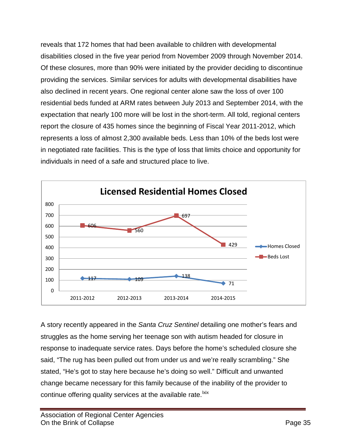reveals that 172 homes that had been available to children with developmental disabilities closed in the five year period from November 2009 through November 2014. Of these closures, more than 90% were initiated by the provider deciding to discontinue providing the services. Similar services for adults with developmental disabilities have also declined in recent years. One regional center alone saw the loss of over 100 residential beds funded at ARM rates between July 2013 and September 2014, with the expectation that nearly 100 more will be lost in the short-term. All told, regional centers report the closure of 435 homes since the beginning of Fiscal Year 2011-2012, which represents a loss of almost 2,300 available beds. Less than 10% of the beds lost were in negotiated rate facilities. This is the type of loss that limits choice and opportunity for individuals in need of a safe and structured place to live.



A story recently appeared in the *Santa Cruz Sentinel* detailing one mother's fears and struggles as the home serving her teenage son with autism headed for closure in response to inadequate service rates. Days before the home's scheduled closure she said, "The rug has been pulled out from under us and we're really scrambling." She stated, "He's got to stay here because he's doing so well." Difficult and unwanted change became necessary for this family because of the inability of the provider to continue offering quality services at the available rate.<sup>Ixix</sup>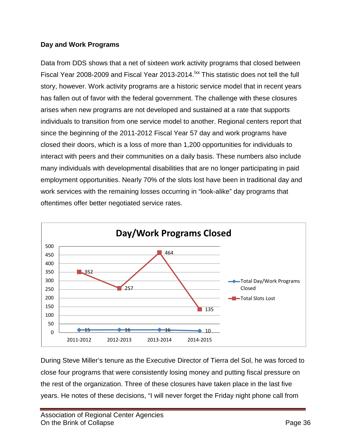#### **Day and Work Programs**

Data from DDS shows that a net of sixteen work activity programs that closed between Fiscal Year 2008-2009 and Fiscal Year 2013-2014. <sup>Ixx</sup> This statistic does not tell the full story, however. Work activity programs are a historic service model that in recent years has fallen out of favor with the federal government. The challenge with these closures arises when new programs are not developed and sustained at a rate that supports individuals to transition from one service model to another. Regional centers report that since the beginning of the 2011-2012 Fiscal Year 57 day and work programs have closed their doors, which is a loss of more than 1,200 opportunities for individuals to interact with peers and their communities on a daily basis. These numbers also include many individuals with developmental disabilities that are no longer participating in paid employment opportunities. Nearly 70% of the slots lost have been in traditional day and work services with the remaining losses occurring in "look-alike" day programs that oftentimes offer better negotiated service rates.



During Steve Miller's tenure as the Executive Director of Tierra del Sol, he was forced to close four programs that were consistently losing money and putting fiscal pressure on the rest of the organization. Three of these closures have taken place in the last five years. He notes of these decisions, "I will never forget the Friday night phone call from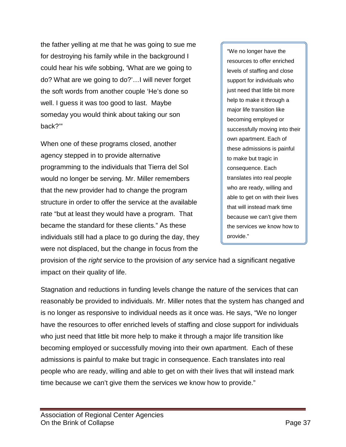the father yelling at me that he was going to sue me for destroying his family while in the background I could hear his wife sobbing, 'What are we going to do? What are we going to do?'…I will never forget the soft words from another couple 'He's done so well. I guess it was too good to last. Maybe someday you would think about taking our son back?'"

When one of these programs closed, another agency stepped in to provide alternative programming to the individuals that Tierra del Sol would no longer be serving. Mr. Miller remembers that the new provider had to change the program structure in order to offer the service at the available rate "but at least they would have a program. That became the standard for these clients." As these individuals still had a place to go during the day, they were not displaced, but the change in focus from the

"We no longer have the resources to offer enriched levels of staffing and close support for individuals who just need that little bit more help to make it through a major life transition like becoming employed or successfully moving into their own apartment. Each of these admissions is painful to make but tragic in consequence. Each translates into real people who are ready, willing and able to get on with their lives that will instead mark time because we can't give them the services we know how to provide."

provision of the *right* service to the provision of *any* service had a significant negative impact on their quality of life.

Stagnation and reductions in funding levels change the nature of the services that can reasonably be provided to individuals. Mr. Miller notes that the system has changed and is no longer as responsive to individual needs as it once was. He says, "We no longer have the resources to offer enriched levels of staffing and close support for individuals who just need that little bit more help to make it through a major life transition like becoming employed or successfully moving into their own apartment. Each of these admissions is painful to make but tragic in consequence. Each translates into real people who are ready, willing and able to get on with their lives that will instead mark time because we can't give them the services we know how to provide."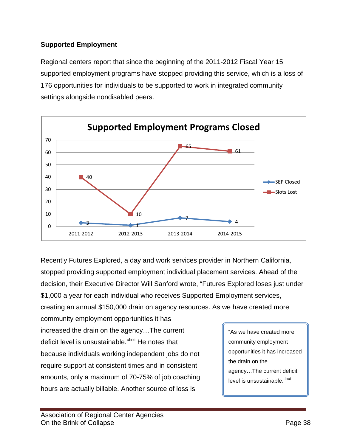#### **Supported Employment**

Regional centers report that since the beginning of the 2011-2012 Fiscal Year 15 supported employment programs have stopped providing this service, which is a loss of 176 opportunities for individuals to be supported to work in integrated community settings alongside nondisabled peers.



Recently Futures Explored, a day and work services provider in Northern California, stopped providing supported employment individual placement services. Ahead of the decision, their Executive Director Will Sanford wrote, "Futures Explored loses just under \$1,000 a year for each individual who receives Supported Employment services,

creating an annual \$150,000 drain on agency resources. As we have created more

community employment opportunities it has increased the drain on the agency…The current deficit level is unsustainable."<sup>Ixxi</sup> He notes that because individuals working independent jobs do not require support at consistent times and in consistent amounts, only a maximum of 70-75% of job coaching hours are actually billable. Another source of loss is

"As we have created more community employment opportunities it has increased the drain on the agency…The current deficit level is unsustainable."<sup>|XXI</sup>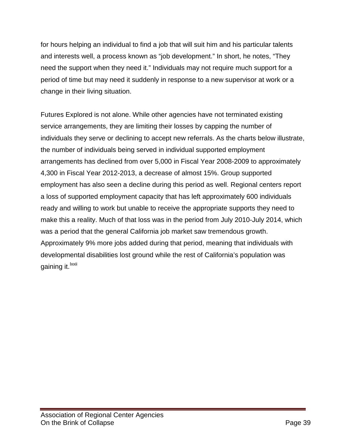for hours helping an individual to find a job that will suit him and his particular talents and interests well, a process known as "job development." In short, he notes, "They need the support when they need it." Individuals may not require much support for a period of time but may need it suddenly in response to a new supervisor at work or a change in their living situation.

Futures Explored is not alone. While other agencies have not terminated existing service arrangements, they are limiting their losses by capping the number of individuals they serve or declining to accept new referrals. As the charts below illustrate, the number of individuals being served in individual supported employment arrangements has declined from over 5,000 in Fiscal Year 2008-2009 to approximately 4,300 in Fiscal Year 2012-2013, a decrease of almost 15%. Group supported employment has also seen a decline during this period as well. Regional centers report a loss of supported employment capacity that has left approximately 600 individuals ready and willing to work but unable to receive the appropriate supports they need to make this a reality. Much of that loss was in the period from July 2010-July 2014, which was a period that the general California job market saw tremendous growth. Approximately 9% more jobs added during that period, meaning that individuals with developmental disabilities lost ground while the rest of California's population was gaining it.<sup>lxxii</sup>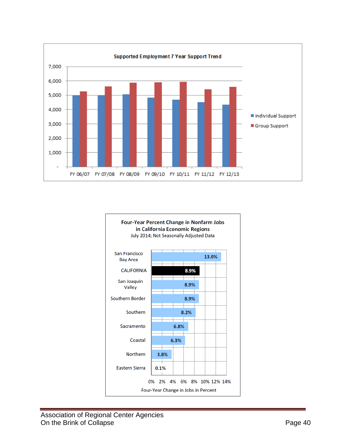

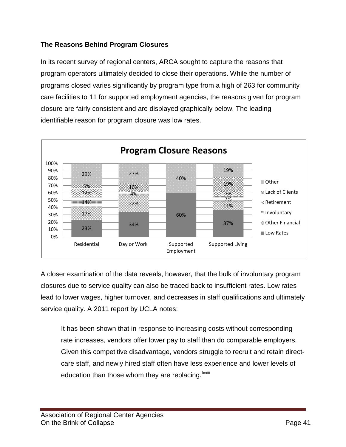#### **The Reasons Behind Program Closures**

In its recent survey of regional centers, ARCA sought to capture the reasons that program operators ultimately decided to close their operations. While the number of programs closed varies significantly by program type from a high of 263 for community care facilities to 11 for supported employment agencies, the reasons given for program closure are fairly consistent and are displayed graphically below. The leading identifiable reason for program closure was low rates.



A closer examination of the data reveals, however, that the bulk of involuntary program closures due to service quality can also be traced back to insufficient rates. Low rates lead to lower wages, higher turnover, and decreases in staff qualifications and ultimately service quality. A 2011 report by UCLA notes:

It has been shown that in response to increasing costs without corresponding rate increases, vendors offer lower pay to staff than do comparable employers. Given this competitive disadvantage, vendors struggle to recruit and retain directcare staff, and newly hired staff often have less experience and lower levels of educat[i](#page-59-22)on than those whom they are replacing. <sup>Ixxiii</sup>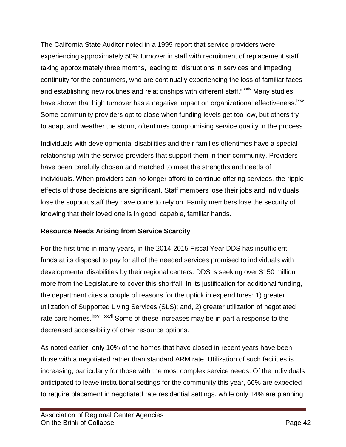The California State Auditor noted in a 1999 report that service providers were experiencing approximately 50% turnover in staff with recruitment of replacement staff taking approximately three months, leading to "disruptions in services and impeding continuity for the consumers, who are continually experiencing the loss of familiar faces and establishing new routines and relationships with different staff."<sup>IXXIV</sup> [M](#page-59-58)any studies have shown that high turnover has a negative impact on organizational effectiveness. Ixxv Some community providers opt to close when funding levels get too low, but others try to adapt and weather the storm, oftentimes compromising service quality in the process.

Individuals with developmental disabilities and their families oftentimes have a special relationship with the service providers that support them in their community. Providers have been carefully chosen and matched to meet the strengths and needs of individuals. When providers can no longer afford to continue offering services, the ripple effects of those decisions are significant. Staff members lose their jobs and individuals lose the support staff they have come to rely on. Family members lose the security of knowing that their loved one is in good, capable, familiar hands.

#### **Resource Needs Arising from Service Scarcity**

For the first time in many years, in the 2014-2015 Fiscal Year DDS has insufficient funds at its disposal to pay for all of the needed services promised to individuals with developmental disabilities by their regional centers. DDS is seeking over \$150 million more from the Legislature to cover this shortfall. In its justification for additional funding, the department cites a couple of reasons for the uptick in expenditures: 1) greater utilization of Supported Living Services (SLS); and, 2) greater utilization of negotiated rate care homes.<sup>Ixxvi[,](#page-59-59) Ixxvii</sup> Some of these increases may be in part a response to the decreased accessibility of other resource options.

As noted earlier, only 10% of the homes that have closed in recent years have been those with a negotiated rather than standard ARM rate. Utilization of such facilities is increasing, particularly for those with the most complex service needs. Of the individuals anticipated to leave institutional settings for the community this year, 66% are expected to require placement in negotiated rate residential settings, while only 14% are planning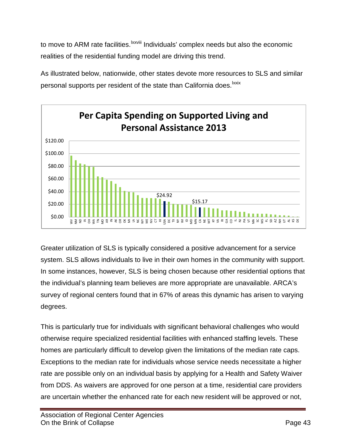to move to ARM rate facilities. <sup>Ixxviii</sup> Individuals' complex needs but also the economic realities of the residential funding model are driving this trend.

As illustrated below, nationwide, other states devote more resources to SLS and similar personal supports per resident of the state than California does. I[x](#page-59-60)xix



Greater utilization of SLS is typically considered a positive advancement for a service system. SLS allows individuals to live in their own homes in the community with support. In some instances, however, SLS is being chosen because other residential options that the individual's planning team believes are more appropriate are unavailable. ARCA's survey of regional centers found that in 67% of areas this dynamic has arisen to varying degrees.

This is particularly true for individuals with significant behavioral challenges who would otherwise require specialized residential facilities with enhanced staffing levels. These homes are particularly difficult to develop given the limitations of the median rate caps. Exceptions to the median rate for individuals whose service needs necessitate a higher rate are possible only on an individual basis by applying for a Health and Safety Waiver from DDS. As waivers are approved for one person at a time, residential care providers are uncertain whether the enhanced rate for each new resident will be approved or not,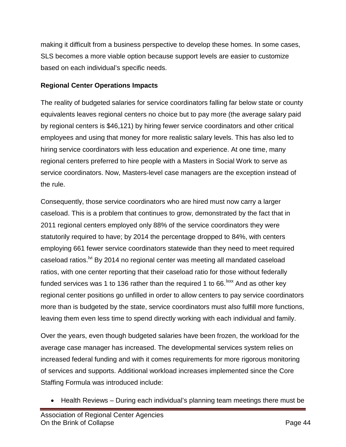making it difficult from a business perspective to develop these homes. In some cases, SLS becomes a more viable option because support levels are easier to customize based on each individual's specific needs.

#### **Regional Center Operations Impacts**

The reality of budgeted salaries for service coordinators falling far below state or county equivalents leaves regional centers no choice but to pay more (the average salary paid by regional centers is \$46,121) by hiring fewer service coordinators and other critical employees and using that money for more realistic salary levels. This has also led to hiring service coordinators with less education and experience. At one time, many regional centers preferred to hire people with a Masters in Social Work to serve as service coordinators. Now, Masters-level case managers are the exception instead of the rule.

Consequently, those service coordinators who are hired must now carry a larger caseload. This is a problem that continues to grow, demonstrated by the fact that in 2011 regional centers employed only 88% of the service coordinators they were statutorily required to have; by 2014 the percentage dropped to 84%, with centers employing 661 fewer service coordinators statewide than they need to meet required caseload ratios.<sup>Ivi</sup> By 2014 no regional center was meeting all mandated caseload ratios, with one center reporting that their caseload ratio for those without federally funded services was 1 to 136 rather than the required 1 to 66. $\frac{1}{x}$  And as other key regional center positions go unfilled in order to allow centers to pay service coordinators more than is budgeted by the state, service coordinators must also fulfill more functions, leaving them even less time to spend directly working with each individual and family.

Over the years, even though budgeted salaries have been frozen, the workload for the average case manager has increased. The developmental services system relies on increased federal funding and with it comes requirements for more rigorous monitoring of services and supports. Additional workload increases implemented since the Core Staffing Formula was introduced include:

• Health Reviews – During each individual's planning team meetings there must be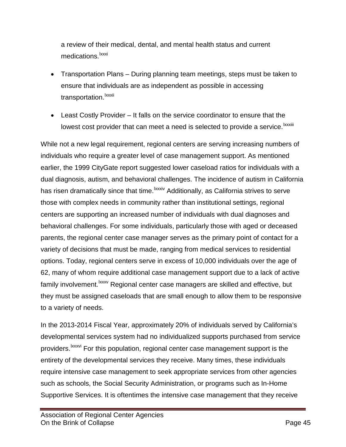a review of their medical, dental, and mental health status and current med[i](#page-59-62)cations.<sup>Ixxxi</sup>

- Transportation Plans During planning team meetings, steps must be taken to ensure that individuals are as independent as possible in accessing transportat[i](#page-59-63)on.<sup>lxxxii</sup>
- Least Costly Provider It falls on the service coordinator to ensure that the lowest cost prov[i](#page-59-64)der that can meet a need is selected to provide a service. Ixxxiii

While not a new legal requirement, regional centers are serving increasing numbers of individuals who require a greater level of case management support. As mentioned earlier, the 1999 CityGate report suggested lower caseload ratios for individuals with a dual diagnosis, autism, and behavioral challenges. The incidence of autism in California has risen dramatically since that time.<sup>lxxxiv</sup> Additionally, as California strives to serve family involvement.<sup>Ixxxv</sup> Regional center case managers are skilled and effective, but those with complex needs in community rather than institutional settings, regional centers are supporting an increased number of individuals with dual diagnoses and behavioral challenges. For some individuals, particularly those with aged or deceased parents, the regional center case manager serves as the primary point of contact for a variety of decisions that must be made, ranging from medical services to residential options. Today, regional centers serve in excess of 10,000 individuals over the age of 62, many of whom require additional case management support due to a lack of active they must be assigned caseloads that are small enough to allow them to be responsive to a variety of needs.

In the 2013-2014 Fiscal Year, approximately 20% of individuals served by California's developmental services system had no individualized supports purchased from service providers.<sup>Ixxxvi</sup> [F](#page-59-65)or this population, regional center case management support is the entirety of the developmental services they receive. Many times, these individuals require intensive case management to seek appropriate services from other agencies such as schools, the Social Security Administration, or programs such as In-Home Supportive Services. It is oftentimes the intensive case management that they receive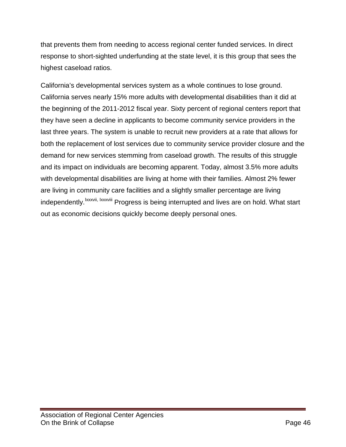that prevents them from needing to access regional center funded services. In direct response to short-sighted underfunding at the state level, it is this group that sees the highest caseload ratios.

California's developmental services system as a whole continues to lose ground. California serves nearly 15% more adults with developmental disabilities than it did at the beginning of the 2011-2012 fiscal year. Sixty percent of regional centers report that they have seen a decline in applicants to become community service providers in the last three years. The system is unable to recruit new providers at a rate that allows for both the replacement of lost services due to community service provider closure and the demand for new services stemming from caseload growth. The results of this struggle and its impact on individuals are becoming apparent. Today, almost 3.5% more adults with developmental disabilities are living at home with their families. Almost 2% fewer are living in community care facilities and a slightly smaller percentage are living independently.<sup>Ixxxvi[i,](#page-59-66) Ixxxv[i](#page-59-67)ii</sup> Progress is being interrupted and lives are on hold. What start out as economic decisions quickly become deeply personal ones.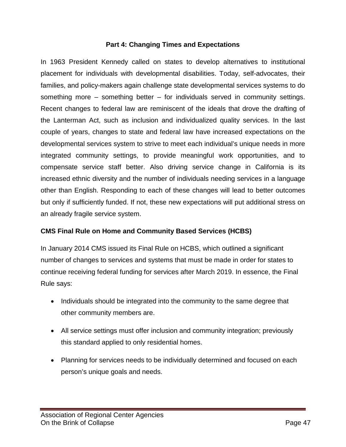#### **Part 4: Changing Times and Expectations**

In 1963 President Kennedy called on states to develop alternatives to institutional placement for individuals with developmental disabilities. Today, self-advocates, their families, and policy-makers again challenge state developmental services systems to do something more – something better – for individuals served in community settings. Recent changes to federal law are reminiscent of the ideals that drove the drafting of the Lanterman Act, such as inclusion and individualized quality services. In the last couple of years, changes to state and federal law have increased expectations on the developmental services system to strive to meet each individual's unique needs in more integrated community settings, to provide meaningful work opportunities, and to compensate service staff better. Also driving service change in California is its increased ethnic diversity and the number of individuals needing services in a language other than English. Responding to each of these changes will lead to better outcomes but only if sufficiently funded. If not, these new expectations will put additional stress on an already fragile service system.

#### **CMS Final Rule on Home and Community Based Services (HCBS)**

In January 2014 CMS issued its Final Rule on HCBS, which outlined a significant number of changes to services and systems that must be made in order for states to continue receiving federal funding for services after March 2019. In essence, the Final Rule says:

- Individuals should be integrated into the community to the same degree that other community members are.
- All service settings must offer inclusion and community integration; previously this standard applied to only residential homes.
- Planning for services needs to be individually determined and focused on each person's unique goals and needs.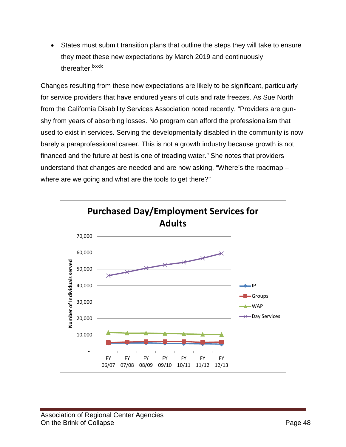• States must submit transition plans that outline the steps they will take to ensure they meet these new expectations by March 2019 and continuously thereafter.<sup>I[x](#page-59-68)xxix</sup>

Changes resulting from these new expectations are likely to be significant, particularly for service providers that have endured years of cuts and rate freezes. As Sue North from the California Disability Services Association noted recently, "Providers are gunshy from years of absorbing losses. No program can afford the professionalism that used to exist in services. Serving the developmentally disabled in the community is now barely a paraprofessional career. This is not a growth industry because growth is not financed and the future at best is one of treading water." She notes that providers understand that changes are needed and are now asking, "Where's the roadmap – where are we going and what are the tools to get there?"

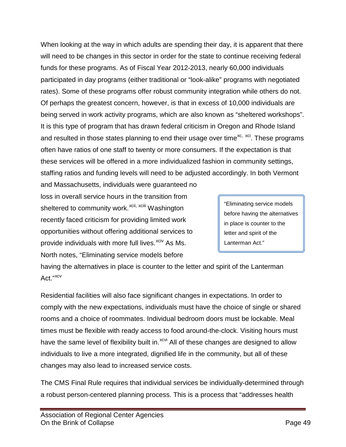When looking at the way in which adults are spending their day, it is apparent that there will need to be changes in this sector in order for the state to continue receiving federal funds for these programs. As of Fiscal Year 2012-2013, nearly 60,000 individuals participated in day programs (either traditional or "look-alike" programs with negotiated rates). Some of these programs offer robust community integration while others do not. Of perhaps the greatest concern, however, is that in excess of 10,000 individuals are being served in work activity programs, which are also known as "sheltered workshops". It is this type of program that has drawn federal criticism in Oregon and Rhode Island and resulted in those states planning to end their usage over time<sup>[xc,](#page-59-53) [xci](#page-59-69)</sup>. These programs often have ratios of one staff to twenty or more consumers. If the expectation is that these services will be offered in a more individualized fashion in community settings, staffing ratios and funding levels will need to be adjusted accordingly. In both Vermont

sheltered to community work.<sup>[xcii](#page-59-70), xciii</sup> [W](#page-59-71)ashington and Massachusetts, individuals were guaranteed no loss in overall service hours in the transition from recently faced criticism for providing limited work opportunities without offering additional services to provide individuals with more full lives.<sup>[xciv](#page-59-72)</sup> As Ms. North notes, "Eliminating service models before

"Eliminating service models before having the alternatives in place is counter to the letter and spirit of the Lanterman Act."

having the alternatives in place is counter to the letter and spirit of the Lanterman Act."[xcv](#page-59-73)

Residential facilities will also face significant changes in expectations. In order to comply with the new expectations, individuals must have the choice of single or shared rooms and a choice of roommates. Individual bedroom doors must be lockable. Meal times must be flexible with ready access to food around-the-clock. Visiting hours must have the same level of flexibility built in.<sup>[xcvi](#page-59-24)</sup> All of these changes are designed to allow individuals to live a more integrated, dignified life in the community, but all of these changes may also lead to increased service costs.

The CMS Final Rule requires that individual services be individually-determined through a robust person-centered planning process. This is a process that "addresses health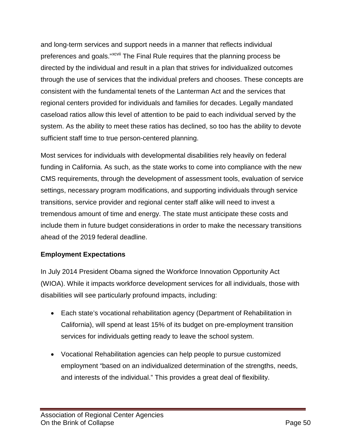and long-term services and support needs in a manner that reflects individual preferences and goals."<sup>xcv[i](#page-59-26)i</sup> The Final Rule requires that the planning process be directed by the individual and result in a plan that strives for individualized outcomes through the use of services that the individual prefers and chooses. These concepts are consistent with the fundamental tenets of the Lanterman Act and the services that regional centers provided for individuals and families for decades. Legally mandated caseload ratios allow this level of attention to be paid to each individual served by the system. As the ability to meet these ratios has declined, so too has the ability to devote sufficient staff time to true person-centered planning.

Most services for individuals with developmental disabilities rely heavily on federal funding in California. As such, as the state works to come into compliance with the new CMS requirements, through the development of assessment tools, evaluation of service settings, necessary program modifications, and supporting individuals through service transitions, service provider and regional center staff alike will need to invest a tremendous amount of time and energy. The state must anticipate these costs and include them in future budget considerations in order to make the necessary transitions ahead of the 2019 federal deadline.

#### **Employment Expectations**

In July 2014 President Obama signed the Workforce Innovation Opportunity Act (WIOA). While it impacts workforce development services for all individuals, those with disabilities will see particularly profound impacts, including:

- Each state's vocational rehabilitation agency (Department of Rehabilitation in California), will spend at least 15% of its budget on pre-employment transition services for individuals getting ready to leave the school system.
- Vocational Rehabilitation agencies can help people to pursue customized employment "based on an individualized determination of the strengths, needs, and interests of the individual." This provides a great deal of flexibility.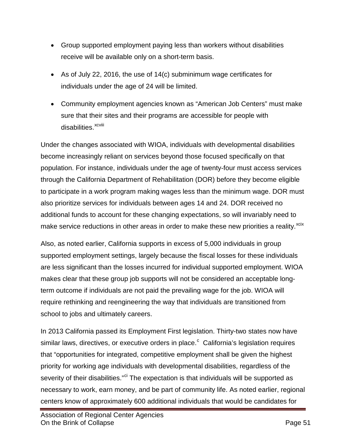- Group supported employment paying less than workers without disabilities receive will be available only on a short-term basis.
- As of July 22, 2016, the use of 14(c) subminimum wage certificates for individuals under the age of 24 will be limited.
- Community employment agencies known as "American Job Centers" must make sure that their sites and their programs are accessible for people with d[i](#page-59-74)sabilities.<sup>xcviii</sup>

Under the changes associated with WIOA, individuals with developmental disabilities become increasingly reliant on services beyond those focused specifically on that population. For instance, individuals under the age of twenty-four must access services through the California Department of Rehabilitation (DOR) before they become eligible to participate in a work program making wages less than the minimum wage. DOR must also prioritize services for individuals between ages 14 and 24. DOR received no additional funds to account for these changing expectations, so will invariably need to make service reductions in other areas in order to make these new priorities a reality.<sup>[xcix](#page-59-27)</sup>

Also, as noted earlier, California supports in excess of 5,000 individuals in group supported employment settings, largely because the fiscal losses for these individuals are less significant than the losses incurred for individual supported employment. WIOA makes clear that these group job supports will not be considered an acceptable longterm outcome if individuals are not paid the prevailing wage for the job. WIOA will require rethinking and reengineering the way that individuals are transitioned from school to jobs and ultimately careers.

In 2013 California passed its Employment First legislation. Thirty-two states now have similar laws, dire[c](#page-59-46)tives, or executive orders in place.<sup>c</sup> California's legislation requires that "opportunities for integrated, competitive employment shall be given the highest priority for working age individuals with developmental disabilities, regardless of the severity of their disabilities."<sup>[ci](#page-59-75)</sup> The expectation is that individuals will be supported as necessary to work, earn money, and be part of community life. As noted earlier, regional centers know of approximately 600 additional individuals that would be candidates for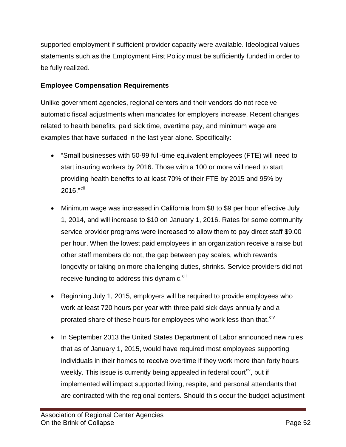supported employment if sufficient provider capacity were available. Ideological values statements such as the Employment First Policy must be sufficiently funded in order to be fully realized.

#### **Employee Compensation Requirements**

Unlike government agencies, regional centers and their vendors do not receive automatic fiscal adjustments when mandates for employers increase. Recent changes related to health benefits, paid sick time, overtime pay, and minimum wage are examples that have surfaced in the last year alone. Specifically:

- "Small businesses with 50-99 full-time equivalent employees (FTE) will need to start insuring workers by 2016. Those with a 100 or more will need to start providing health benefits to at least 70% of their FTE by 2015 and 95% by  $2016."$ <sup>[cii](#page-59-76)</sup>
- Minimum wage was increased in California from \$8 to \$9 per hour effective July 1, 2014, and will increase to \$10 on January 1, 2016. Rates for some community service provider programs were increased to allow them to pay direct staff \$9.00 per hour. When the lowest paid employees in an organization receive a raise but other staff members do not, the gap between pay scales, which rewards longevity or taking on more challenging duties, shrinks. Service providers did not receive funding to address this dynamic.<sup>[ciii](#page-59-77)</sup>
- Beginning July 1, 2015, employers will be required to provide employees who work at least 720 hours per year with three paid sick days annually and a prorated share of these hours for employees who work less than that.<sup>[civ](#page-59-32)</sup>
- In September 2013 the United States Department of Labor announced new rules that as of January 1, 2015, would have required most employees supporting individuals in their homes to receive overtime if they work more than forty hours weekly. This issue is currently being appealed in federal court<sup>cy</sup>, but if implemented will impact supported living, respite, and personal attendants that are contracted with the regional centers. Should this occur the budget adjustment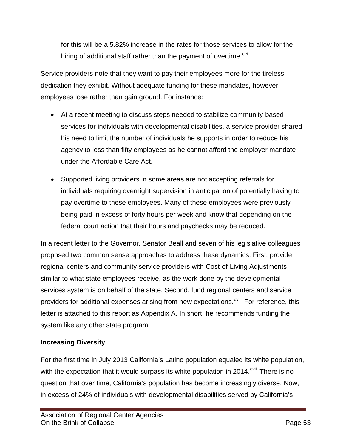for this will be a 5.82% increase in the rates for those services to allow for the hiring of additional staff rather than the payment of overtime. $\frac{\text{cvi}}{\text{cvi}}$  $\frac{\text{cvi}}{\text{cvi}}$  $\frac{\text{cvi}}{\text{cvi}}$ 

Service providers note that they want to pay their employees more for the tireless dedication they exhibit. Without adequate funding for these mandates, however, employees lose rather than gain ground. For instance:

- At a recent meeting to discuss steps needed to stabilize community-based services for individuals with developmental disabilities, a service provider shared his need to limit the number of individuals he supports in order to reduce his agency to less than fifty employees as he cannot afford the employer mandate under the Affordable Care Act.
- Supported living providers in some areas are not accepting referrals for individuals requiring overnight supervision in anticipation of potentially having to pay overtime to these employees. Many of these employees were previously being paid in excess of forty hours per week and know that depending on the federal court action that their hours and paychecks may be reduced.

In a recent letter to the Governor, Senator Beall and seven of his legislative colleagues proposed two common sense approaches to address these dynamics. First, provide regional centers and community service providers with Cost-of-Living Adjustments similar to what state employees receive, as the work done by the developmental services system is on behalf of the state. Second, fund regional centers and service providers for additional expenses arising from new expectations.<sup>[cvii](#page-59-79)</sup> For reference, this letter is attached to this report as Appendix A. In short, he recommends funding the system like any other state program.

#### **Increasing Diversity**

For the first time in July 2013 California's Latino population equaled its white population, with the expectation that it would surpass its white population in 2014.<sup>cviii</sup> [T](#page-59-80)here is no question that over time, California's population has become increasingly diverse. Now, in excess of 24% of individuals with developmental disabilities served by California's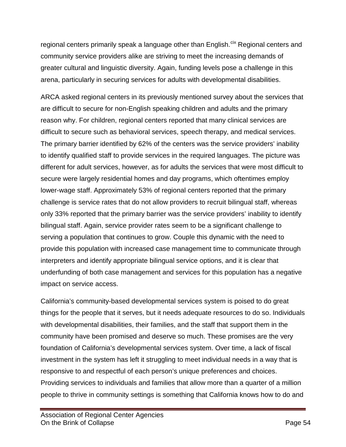regional centers primarily speak a language other than English.<sup>[cix](#page-59-36)</sup> Regional centers and community service providers alike are striving to meet the increasing demands of greater cultural and linguistic diversity. Again, funding levels pose a challenge in this arena, particularly in securing services for adults with developmental disabilities.

ARCA asked regional centers in its previously mentioned survey about the services that are difficult to secure for non-English speaking children and adults and the primary reason why. For children, regional centers reported that many clinical services are difficult to secure such as behavioral services, speech therapy, and medical services. The primary barrier identified by 62% of the centers was the service providers' inability to identify qualified staff to provide services in the required languages. The picture was different for adult services, however, as for adults the services that were most difficult to secure were largely residential homes and day programs, which oftentimes employ lower-wage staff. Approximately 53% of regional centers reported that the primary challenge is service rates that do not allow providers to recruit bilingual staff, whereas only 33% reported that the primary barrier was the service providers' inability to identify bilingual staff. Again, service provider rates seem to be a significant challenge to serving a population that continues to grow. Couple this dynamic with the need to provide this population with increased case management time to communicate through interpreters and identify appropriate bilingual service options, and it is clear that underfunding of both case management and services for this population has a negative impact on service access.

California's community-based developmental services system is poised to do great things for the people that it serves, but it needs adequate resources to do so. Individuals with developmental disabilities, their families, and the staff that support them in the community have been promised and deserve so much. These promises are the very foundation of California's developmental services system. Over time, a lack of fiscal investment in the system has left it struggling to meet individual needs in a way that is responsive to and respectful of each person's unique preferences and choices. Providing services to individuals and families that allow more than a quarter of a million people to thrive in community settings is something that California knows how to do and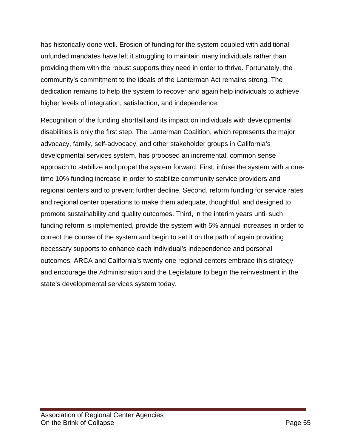has historically done well. Erosion of funding for the system coupled with additional unfunded mandates have left it struggling to maintain many individuals rather than providing them with the robust supports they need in order to thrive. Fortunately, the community's commitment to the ideals of the Lanterman Act remains strong. The dedication remains to help the system to recover and again help individuals to achieve higher levels of integration, satisfaction, and independence.

Recognition of the funding shortfall and its impact on individuals with developmental disabilities is only the first step. The Lanterman Coalition, which represents the major advocacy, family, self-advocacy, and other stakeholder groups in California's developmental services system, has proposed an incremental, common sense approach to stabilize and propel the system forward. First, infuse the system with a onetime 10% funding increase in order to stabilize community service providers and regional centers and to prevent further decline. Second, reform funding for service rates and regional center operations to make them adequate, thoughtful, and designed to promote sustainability and quality outcomes. Third, in the interim years until such funding reform is implemented, provide the system with 5% annual increases in order to correct the course of the system and begin to set it on the path of again providing necessary supports to enhance each individual's independence and personal outcomes. ARCA and California's twenty-one regional centers embrace this strategy and encourage the Administration and the Legislature to begin the reinvestment in the state's developmental services system today.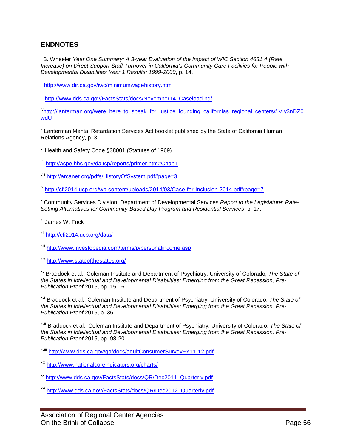#### **ENDNOTES**

 i B. Wheeler *Year One Summary: A 3-year Evaluation of the Impact of WIC Section 4681.4 (Rate Increase) on Direct Support Staff Turnover in California's Community Care Facilities for People with Developmental Disabilities Year 1 Results: 1999-2000*, p. 14.

ii <http://www.dir.ca.gov/iwc/minimumwagehistory.htm>

iii [http://www.dds.ca.gov/FactsStats/docs/November14\\_Caseload.pdf](http://www.dds.ca.gov/FactsStats/docs/November14_Caseload.pdf)

[ivhttp://lanterman.org/were\\_here\\_to\\_speak\\_for\\_justice\\_founding\\_californias\\_regional\\_centers#.VIy3nDZ0](http://lanterman.org/were_here_to_speak_for_justice_founding_californias_regional_centers#.VIy3nDZ0wdU) [wdU](http://lanterman.org/were_here_to_speak_for_justice_founding_californias_regional_centers#.VIy3nDZ0wdU)

 $V$  Lanterman Mental Retardation Services Act booklet published by the State of California Human Relations Agency, p. 3.

vi Health and Safety Code §38001 (Statutes of 1969)

vii <http://aspe.hhs.gov/daltcp/reports/primer.htm#Chap1>

viii <http://arcanet.org/pdfs/HistoryOfSystem.pdf#page=3>

ix <http://cfi2014.ucp.org/wp-content/uploads/2014/03/Case-for-Inclusion-2014.pdf#page=7>

<sup>x</sup> Community Services Division, Department of Developmental Services *Report to the Legislature: Rate-Setting Alternatives for Community-Based Day Program and Residential Services*, p. 17.

xi James W. Frick

xii <http://cfi2014.ucp.org/data/>

xiii <http://www.investopedia.com/terms/p/personalincome.asp>

xiv <http://www.stateofthestates.org/>

xv Braddock et al., Coleman Institute and Department of Psychiatry, University of Colorado, *The State of the States in Intellectual and Developmental Disabilities: Emerging from the Great Recession, Pre-Publication Proof* 2015, pp. 15-16.

xvi Braddock et al., Coleman Institute and Department of Psychiatry, University of Colorado, *The State of the States in Intellectual and Developmental Disabilities: Emerging from the Great Recession, Pre-Publication Proof* 2015, p. 36.

xvii Braddock et al., Coleman Institute and Department of Psychiatry, University of Colorado, *The State of the States in Intellectual and Developmental Disabilities: Emerging from the Great Recession, Pre-Publication Proof* 2015, pp. 98-201.

xviii <http://www.dds.ca.gov/qa/docs/adultConsumerSurveyFY11-12.pdf>

xix <http://www.nationalcoreindicators.org/charts/>

xx [http://www.dds.ca.gov/FactsStats/docs/QR/Dec2011\\_Quarterly.pdf](http://www.dds.ca.gov/FactsStats/docs/QR/Dec2011_Quarterly.pdf)

xxi [http://www.dds.ca.gov/FactsStats/docs/QR/Dec2012\\_Quarterly.pdf](http://www.dds.ca.gov/FactsStats/docs/QR/Dec2012_Quarterly.pdf)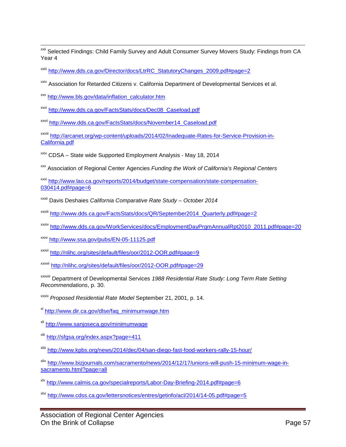<sup>xxii</sup> Selected Findings: Child Family Survey and Adult Consumer Survey Movers Study: Findings from CA Year 4

xxiii [http://www.dds.ca.gov/Director/docs/LtrRC\\_StatutoryChanges\\_2009.pdf#page=2](http://www.dds.ca.gov/Director/docs/LtrRC_StatutoryChanges_2009.pdf#page=2)

xxiv Association for Retarded Citizens v. California Department of Developmental Services et al.

xxv [http://www.bls.gov/data/inflation\\_calculator.htm](http://www.bls.gov/data/inflation_calculator.htm)

- xxvi [http://www.dds.ca.gov/FactsStats/docs/Dec08\\_Caseload.pdf](http://www.dds.ca.gov/FactsStats/docs/Dec08_Caseload.pdf)
- xxvii [http://www.dds.ca.gov/FactsStats/docs/November14\\_Caseload.pdf](http://www.dds.ca.gov/FactsStats/docs/November14_Caseload.pdf)

xxviii [http://arcanet.org/wp-content/uploads/2014/02/Inadequate-Rates-for-Service-Provision-in-](http://arcanet.org/wp-content/uploads/2014/02/Inadequate-Rates-for-Service-Provision-in-California.pdf)[California.pdf](http://arcanet.org/wp-content/uploads/2014/02/Inadequate-Rates-for-Service-Provision-in-California.pdf)

<sup>xxix</sup> CDSA – State wide Supported Employment Analysis - May 18, 2014

xxx Association of Regional Center Agencies *Funding the Work of California's Regional Centers*

xxxi [http://www.lao.ca.gov/reports/2014/budget/state-compensation/state-compensation-](http://www.lao.ca.gov/reports/2014/budget/state-compensation/state-compensation-030414.pdf#page=6)[030414.pdf#page=6](http://www.lao.ca.gov/reports/2014/budget/state-compensation/state-compensation-030414.pdf#page=6)

- xxxii Davis Deshaies *California Comparative Rate Study – October 2014*
- xxxiii [http://www.dds.ca.gov/FactsStats/docs/QR/September2014\\_Quarterly.pdf#page=2](http://www.dds.ca.gov/FactsStats/docs/QR/September2014_Quarterly.pdf#page=2)
- xxxiv [http://www.dds.ca.gov/WorkServices/docs/EmploymentDayPrgmAnnualRpt2010\\_2011.pdf#page=20](http://www.dds.ca.gov/WorkServices/docs/EmploymentDayPrgmAnnualRpt2010_2011.pdf#page=20)
- xxxv <http://www.ssa.gov/pubs/EN-05-11125.pdf>

xxxvi <http://nlihc.org/sites/default/files/oor/2012-OOR.pdf#page=9>

xxxvii <http://nlihc.org/sites/default/files/oor/2012-OOR.pdf#page=29>

xxxviii Department of Developmental Services *1988 Residential Rate Study: Long Term Rate Setting Recommendations*, p. 30.

xxxix *Proposed Residential Rate Model* September 21, 2001, p. 14.

xl [http://www.dir.ca.gov/dlse/faq\\_minimumwage.htm](http://www.dir.ca.gov/dlse/faq_minimumwage.htm)

- xli <http://www.sanjoseca.gov/minimumwage>
- xlii <http://sfgsa.org/index.aspx?page=411>
- xliii <http://www.kpbs.org/news/2014/dec/04/san-diego-fast-food-workers-rally-15-hour/>
- xliv [http://www.bizjournals.com/sacramento/news/2014/12/17/unions-will-push-15-minimum-wage-in](http://www.bizjournals.com/sacramento/news/2014/12/17/unions-will-push-15-minimum-wage-in-sacramento.html?page=all)[sacramento.html?page=all](http://www.bizjournals.com/sacramento/news/2014/12/17/unions-will-push-15-minimum-wage-in-sacramento.html?page=all)
- xlv <http://www.calmis.ca.gov/specialreports/Labor-Day-Briefing-2014.pdf#page=6>
- xlvi <http://www.cdss.ca.gov/lettersnotices/entres/getinfo/acl/2014/14-05.pdf#page=5>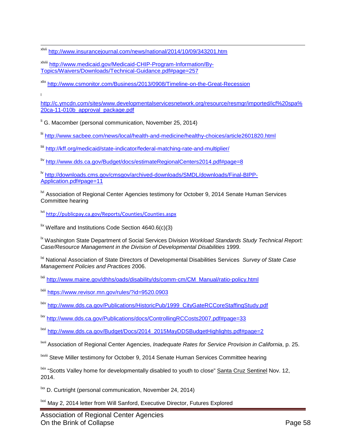xlvii <http://www.insurancejournal.com/news/national/2014/10/09/343201.htm>

xlviii [http://www.medicaid.gov/Medicaid-CHIP-Program-Information/By-](http://www.medicaid.gov/Medicaid-CHIP-Program-Information/By-Topics/Waivers/Downloads/Technical-Guidance.pdf#page=257)[Topics/Waivers/Downloads/Technical-Guidance.pdf#page=257](http://www.medicaid.gov/Medicaid-CHIP-Program-Information/By-Topics/Waivers/Downloads/Technical-Guidance.pdf#page=257)

xlix <http://www.csmonitor.com/Business/2013/0908/Timeline-on-the-Great-Recession>

l

[http://c.ymcdn.com/sites/www.developmentalservicesnetwork.org/resource/resmgr/imported/icf%20spa%](http://c.ymcdn.com/sites/www.developmentalservicesnetwork.org/resource/resmgr/imported/icf%20spa%20ca-11-010b_approval_package.pdf) [20ca-11-010b\\_approval\\_package.pdf](http://c.ymcdn.com/sites/www.developmentalservicesnetwork.org/resource/resmgr/imported/icf%20spa%20ca-11-010b_approval_package.pdf)

 $\mathrm{I}^{\mathrm{I}}$  G. Macomber (personal communication, November 25, 2014)

lii <http://www.sacbee.com/news/local/health-and-medicine/healthy-choices/article2601820.html>

liii <http://kff.org/medicaid/state-indicator/federal-matching-rate-and-multiplier/>

liv <http://www.dds.ca.gov/Budget/docs/estimateRegionalCenters2014.pdf#page=8>

<sup>lv</sup> [http://downloads.cms.gov/cmsgov/archived-downloads/SMDL/downloads/Final-BIPP-](http://downloads.cms.gov/cmsgov/archived-downloads/SMDL/downloads/Final-BIPP-Application.pdf#page=11)[Application.pdf#page=11](http://downloads.cms.gov/cmsgov/archived-downloads/SMDL/downloads/Final-BIPP-Application.pdf#page=11)

<sup>Ivi</sup> Association of Regional Center Agencies testimony for October 9, 2014 Senate Human Services Committee hearing

lvii <http://publicpay.ca.gov/Reports/Counties/Counties.aspx>

 $\frac{div}{dx}$  Welfare and Institutions Code Section 4640.6(c)(3)

<sup>1x</sup> Washington State Department of Social Services Division *Workload Standards Study Technical Report: Case/Resource Management in the Division of Developmental Disabilities* 1999.

lxi National Association of State Directors of Developmental Disabilities Services *Survey of State Case Management Policies and Practices* 2006.

lxii [http://www.maine.gov/dhhs/oads/disability/ds/comm-cm/CM\\_Manual/ratio-policy.html](http://www.maine.gov/dhhs/oads/disability/ds/comm-cm/CM_Manual/ratio-policy.html)

lxiii <https://www.revisor.mn.gov/rules/?id=9520.0903>

lxiv [http://www.dds.ca.gov/Publications/HistoricPub/1999\\_CityGateRCCoreStaffingStudy.pdf](http://www.dds.ca.gov/Publications/HistoricPub/1999_CityGateRCCoreStaffingStudy.pdf)

lxv <http://www.dds.ca.gov/Publications/docs/ControllingRCCosts2007.pdf#page=33>

lxvi [http://www.dds.ca.gov/Budget/Docs/2014\\_2015MayDDSBudgetHighlights.pdf#page=2](http://www.dds.ca.gov/Budget/Docs/2014_2015MayDDSBudgetHighlights.pdf#page=2)

lxvii Association of Regional Center Agencies, *Inadequate Rates for Service Provision in California*, p. 25.

lxviii Steve Miller testimony for October 9, 2014 Senate Human Services Committee hearing

<sup>Ixix</sup> "Scotts Valley home for developmentally disabled to youth to close" Santa Cruz Sentinel Nov. 12. 2014.

 $\frac{1}{x}$  D. Curtright (personal communication, November 24, 2014)

lxxi May 2, 2014 letter from Will Sanford, Executive Director, Futures Explored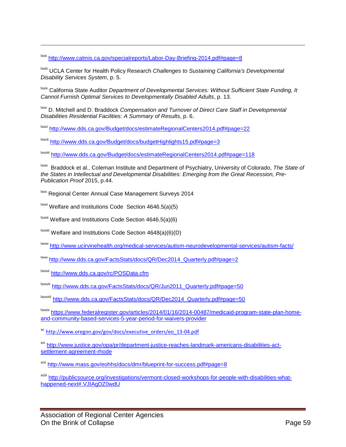lxxii <http://www.calmis.ca.gov/specialreports/Labor-Day-Briefing-2014.pdf#page=8>

lxxiii UCLA Center for Health Policy Research *Challenges to Sustaining California's Developmental Disability Services System*, p. 5.

lxxiv California State Auditor *Department of Developmental Services: Without Sufficient State Funding, It Cannot Furnish Optimal Services to Developmentally Disabled Adults*, p. 13.

lxxv D. Mitchell and D. Braddock *Compensation and Turnover of Direct Care Staff in Developmental Disabilities Residential Facilities: A Summary of Results*, p. 6.

lxxvi <http://www.dds.ca.gov/Budget/docs/estimateRegionalCenters2014.pdf#page=22>

lxxvii <http://www.dds.ca.gov/Budget/docs/budgetHighlights15.pdf#page=3>

lxxviii <http://www.dds.ca.gov/Budget/docs/estimateRegionalCenters2014.pdf#page=118>

lxxix Braddock et al., Coleman Institute and Department of Psychiatry, University of Colorado, *The State of the States in Intellectual and Developmental Disabilities: Emerging from the Great Recession, Pre-Publication Proof* 2015, p.44.

lxxx Regional Center Annual Case Management Surveys 2014

 $\frac{1}{x}$ <sup>1xxxi</sup> Welfare and Institutions Code Section 4646.5(a)(5)

 $\frac{1}{x}$ <sup>Ixxxii</sup> Welfare and Institutions Code Section 4646.5(a)(6)

 $\frac{1}{x}$ <sup>Ixxxiii</sup> Welfare and Institutions Code Section 4648(a)(6)(D)

lxxxiv <http://www.ucirvinehealth.org/medical-services/autism-neurodevelopmental-services/autism-facts/>

lxxxv [http://www.dds.ca.gov/FactsStats/docs/QR/Dec2014\\_Quarterly.pdf#page=2](http://www.dds.ca.gov/FactsStats/docs/QR/Dec2014_Quarterly.pdf#page=2)

lxxxvi <http://www.dds.ca.gov/rc/POSData.cfm>

**.** 

lxxxvii [http://www.dds.ca.gov/FactsStats/docs/QR/Jun2011\\_Quarterly.pdf#page=50](http://www.dds.ca.gov/FactsStats/docs/QR/Jun2011_Quarterly.pdf#page=50)

lxxxviii [http://www.dds.ca.gov/FactsStats/docs/QR/Dec2014\\_Quarterly.pdf#page=50](http://www.dds.ca.gov/FactsStats/docs/QR/Dec2014_Quarterly.pdf#page=50)

lxxxix [https://www.federalregister.gov/articles/2014/01/16/2014-00487/medicaid-program-state-plan-home](https://www.federalregister.gov/articles/2014/01/16/2014-00487/medicaid-program-state-plan-home-and-community-based-services-5-year-period-for-waivers-provider)[and-community-based-services-5-year-period-for-waivers-provider](https://www.federalregister.gov/articles/2014/01/16/2014-00487/medicaid-program-state-plan-home-and-community-based-services-5-year-period-for-waivers-provider)

xc [http://www.oregon.gov/gov/docs/executive\\_orders/eo\\_13-04.pdf](http://www.oregon.gov/gov/docs/executive_orders/eo_13-04.pdf)

xci [http://www.justice.gov/opa/pr/department-justice-reaches-landmark-americans-disabilities-act](http://www.justice.gov/opa/pr/department-justice-reaches-landmark-americans-disabilities-act-settlement-agreement-rhode)[settlement-agreement-rhode](http://www.justice.gov/opa/pr/department-justice-reaches-landmark-americans-disabilities-act-settlement-agreement-rhode)

xcii <http://www.mass.gov/eohhs/docs/dmr/blueprint-for-success.pdf#page=8>

xciii [http://publicsource.org/investigations/vermont-closed-workshops-for-people-with-disabilities-what](http://publicsource.org/investigations/vermont-closed-workshops-for-people-with-disabilities-what-happened-next#.VJIAgDZ0wdU)[happened-next#.VJIAgDZ0wdU](http://publicsource.org/investigations/vermont-closed-workshops-for-people-with-disabilities-what-happened-next#.VJIAgDZ0wdU)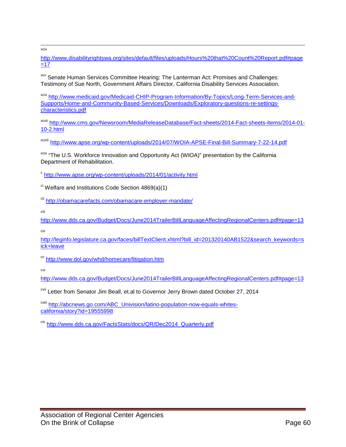<span id="page-59-21"></span>xciv

<span id="page-59-72"></span><span id="page-59-0"></span>[http://www.disabilityrightswa.org/sites/default/files/uploads/Hours%20that%20Count%20Report.pdf#page](http://www.disabilityrightswa.org/sites/default/files/uploads/Hours%20that%20Count%20Report.pdf#page=17)  $=17$ 

<span id="page-59-73"></span><span id="page-59-23"></span><span id="page-59-22"></span><sup>xcv</sup> Senate Human Services Committee Hearing: The Lanterman Act: Promises and Challenges: Testimony of Sue North, Government Affairs Director, California Disability Services Association.

<span id="page-59-58"></span><span id="page-59-42"></span><span id="page-59-24"></span><span id="page-59-2"></span><span id="page-59-1"></span>xcvi [http://www.medicaid.gov/Medicaid-CHIP-Program-Information/By-Topics/Long-Term-Services-and-](http://www.medicaid.gov/Medicaid-CHIP-Program-Information/By-Topics/Long-Term-Services-and-Supports/Home-and-Community-Based-Services/Downloads/Exploratory-questions-re-settings-characteristics.pdf)[Supports/Home-and-Community-Based-Services/Downloads/Exploratory-questions-re-settings](http://www.medicaid.gov/Medicaid-CHIP-Program-Information/By-Topics/Long-Term-Services-and-Supports/Home-and-Community-Based-Services/Downloads/Exploratory-questions-re-settings-characteristics.pdf)[characteristics.pdf](http://www.medicaid.gov/Medicaid-CHIP-Program-Information/By-Topics/Long-Term-Services-and-Supports/Home-and-Community-Based-Services/Downloads/Exploratory-questions-re-settings-characteristics.pdf)

<span id="page-59-59"></span><span id="page-59-26"></span><span id="page-59-25"></span><span id="page-59-4"></span><span id="page-59-3"></span>xcvii [http://www.cms.gov/Newsroom/MediaReleaseDatabase/Fact-sheets/2014-Fact-sheets-items/2014-01-](http://www.cms.gov/Newsroom/MediaReleaseDatabase/Fact-sheets/2014-Fact-sheets-items/2014-01-10-2.html) [10-2.html](http://www.cms.gov/Newsroom/MediaReleaseDatabase/Fact-sheets/2014-Fact-sheets-items/2014-01-10-2.html)

<span id="page-59-74"></span><span id="page-59-43"></span>xcviii <http://www.apse.org/wp-content/uploads/2014/07/WOIA-APSE-Final-Bill-Summary-7-22-14.pdf>

<span id="page-59-45"></span><span id="page-59-44"></span><span id="page-59-27"></span><span id="page-59-6"></span><span id="page-59-5"></span><sup>xcix</sup> "The U.S. Workforce Innovation and Opportunity Act (WIOA)" presentation by the California Department of Rehabilitation.

<span id="page-59-60"></span><span id="page-59-46"></span><span id="page-59-28"></span><span id="page-59-7"></span><sup>c</sup> <http://www.apse.org/wp-content/uploads/2014/01/activity.html>

<span id="page-59-75"></span><span id="page-59-61"></span><span id="page-59-29"></span><span id="page-59-8"></span> $\alpha$ <sup>ci</sup> Welfare and Institutions Code Section 4869(a)(1)

<span id="page-59-76"></span><span id="page-59-47"></span><span id="page-59-9"></span>cii <http://obamacarefacts.com/obamacare-employer-mandate/>

<span id="page-59-62"></span><span id="page-59-30"></span>ciii

<span id="page-59-77"></span><span id="page-59-63"></span><span id="page-59-48"></span><span id="page-59-31"></span><span id="page-59-10"></span><http://www.dds.ca.gov/Budget/Docs/June2014TrailerBillLanguageAffectingRegionalCenters.pdf#page=13> civ

<span id="page-59-64"></span><span id="page-59-32"></span><span id="page-59-12"></span><span id="page-59-11"></span>[http://leginfo.legislature.ca.gov/faces/billTextClient.xhtml?bill\\_id=201320140AB1522&search\\_keywords=s](http://leginfo.legislature.ca.gov/faces/billTextClient.xhtml?bill_id=201320140AB1522&search_keywords=sick+leave) [ick+leave](http://leginfo.legislature.ca.gov/faces/billTextClient.xhtml?bill_id=201320140AB1522&search_keywords=sick+leave)

<span id="page-59-78"></span><span id="page-59-49"></span><span id="page-59-13"></span>cv <http://www.dol.gov/whd/homecare/litigation.htm>

<span id="page-59-65"></span><span id="page-59-33"></span><span id="page-59-14"></span>cvi

<span id="page-59-34"></span><http://www.dds.ca.gov/Budget/Docs/June2014TrailerBillLanguageAffectingRegionalCenters.pdf#page=13>

<span id="page-59-79"></span><span id="page-59-66"></span><span id="page-59-50"></span><sup>cvii</sup> Letter from Senator Jim Beall, et.al to Governor Jerry Brown dated October 27, 2014

<span id="page-59-80"></span><span id="page-59-68"></span><span id="page-59-67"></span><span id="page-59-51"></span><span id="page-59-35"></span><span id="page-59-15"></span>cviii [http://abcnews.go.com/ABC\\_Univision/latino-population-now-equals-whites](http://abcnews.go.com/ABC_Univision/latino-population-now-equals-whites-california/story?id=19555998)[california/story?id=19555998](http://abcnews.go.com/ABC_Univision/latino-population-now-equals-whites-california/story?id=19555998)

<span id="page-59-71"></span><span id="page-59-70"></span><span id="page-59-69"></span><span id="page-59-57"></span><span id="page-59-56"></span><span id="page-59-55"></span><span id="page-59-54"></span><span id="page-59-53"></span><span id="page-59-52"></span><span id="page-59-41"></span><span id="page-59-40"></span><span id="page-59-39"></span><span id="page-59-38"></span><span id="page-59-37"></span><span id="page-59-36"></span><span id="page-59-20"></span><span id="page-59-19"></span><span id="page-59-18"></span><span id="page-59-17"></span><span id="page-59-16"></span>cix [http://www.dds.ca.gov/FactsStats/docs/QR/Dec2014\\_Quarterly.pdf](http://www.dds.ca.gov/FactsStats/docs/QR/Dec2014_Quarterly.pdf)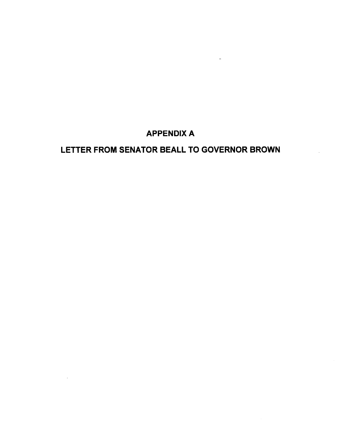#### **APPENDIX A**

 $\omega$ 

#### LETTER FROM SENATOR BEALL TO GOVERNOR BROWN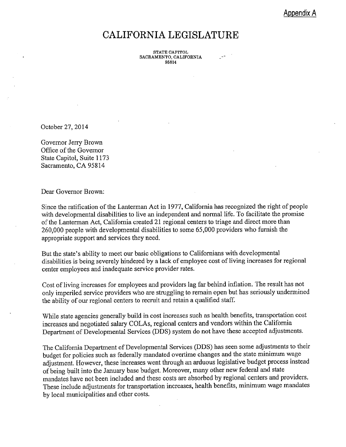Appendix A

#### **CALIFORNIA LEGISLATURE**

**STATE CAPITOL** SACRAMENTO, CALIFORNIA 95814

October 27, 2014

Governor Jerry Brown Office of the Governor State Capitol, Suite 1173 Sacramento, CA 95814

Dear Governor Brown:

Since the ratification of the Lanterman Act in 1977, California has recognized the right of people with developmental disabilities to live an independent and normal life. To facilitate the promise of the Lanterman Act, California created 21 regional centers to triage and direct more than 260,000 people with developmental disabilities to some 65,000 providers who furnish the appropriate support and services they need.

But the state's ability to meet our basic obligations to Californians with developmental disabilities is being severely hindered by a lack of employee cost of living increases for regional center employees and inadequate service provider rates.

Cost of living increases for employees and providers lag far behind inflation. The result has not only imperiled service providers who are struggling to remain open but has seriously undermined the ability of our regional centers to recruit and retain a qualified staff.

While state agencies generally build in cost increases such as health benefits, transportation cost increases and negotiated salary COLAs, regional centers and vendors within the California Department of Developmental Services (DDS) system do not have these accepted adjustments.

The California Department of Developmental Services (DDS) has seen some adjustments to their budget for policies such as federally mandated overtime changes and the state minimum wage adjustment. However, these increases went through an arduous legislative budget process instead of being built into the January base budget. Moreover, many other new federal and state mandates have not been included and these costs are absorbed by regional centers and providers. These include adjustments for transportation increases, health benefits, minimum wage mandates by local municipalities and other costs.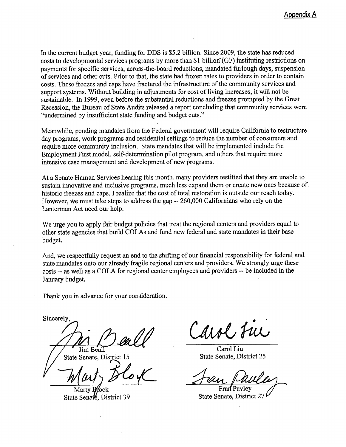In the current budget year, funding for DDS is \$5.2 billion. Since 2009, the state has reduced costs to developmental services programs by more than \$1 billion (GF) instituting restrictions on payments for specific services, across-the-board reductions, mandated furlough days, suspension of services and other cuts. Prior to that, the state had frozen rates to providers in order to contain costs. These freezes and caps have fractured the infrastructure of the community services and support systems. Without building in adjustments for cost of living increases, it will not be sustainable. In 1999, even before the substantial reductions and freezes prompted by the Great Recession, the Bureau of State Audits released a report concluding that community services were "undermined by insufficient state funding and budget cuts."

Meanwhile, pending mandates from the Federal government will require California to restructure day programs, work programs and residential settings to reduce the number of consumers and require more community inclusion. State mandates that will be implemented include the Employment First model, self-determination pilot program, and others that require more intensive case management and development of new programs.

At a Senate Human Services hearing this month, many providers testified that they are unable to sustain innovative and inclusive programs, much less expand them or create new ones because of. historic freezes and caps. I realize that the cost of total restoration is outside our reach today. However, we must take steps to address the gap -- 260,000 Californians who rely on the Lanterman Act need our help.

We urge you to apply fair budget policies that treat the regional centers and providers equal to other state agencies that build COLAs and fund new federal and state mandates in their base budget.

And, we respectfully request an end to the shifting of our financial responsibility for federal and state mandates onto our already fragile regional centers and providers. We strongly urge these costs -- as well as a COLA for regional center employees and providers -- be included in the January budget.

Thank you in advance for your consideration.

Sincerely.

Jim Beal

State Senate, District 1

State Senale, District 39

Carol, Fue

Carol Liu State Senate, District 25

State Senate, District 27